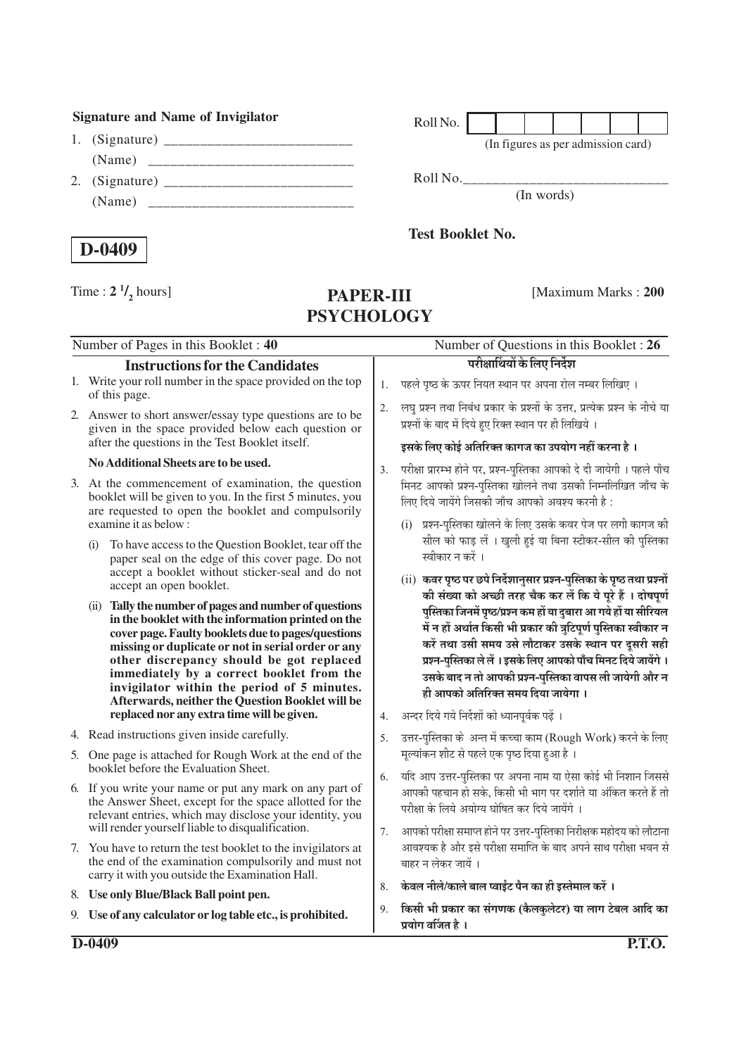# **Signature and Name of Invigilator** Roll No.

- 1. (Signature) \_\_\_\_\_\_\_\_\_\_\_\_\_\_\_\_\_\_\_\_\_\_\_\_\_\_ (Name) \_\_\_\_\_\_\_\_\_\_\_\_\_\_\_\_\_\_\_\_\_\_\_\_\_\_\_\_
- 2. (Signature) \_\_\_\_\_\_\_\_\_\_\_\_\_\_\_\_\_\_\_\_\_\_\_\_\_\_ (Name) \_\_\_\_\_\_\_\_\_\_\_\_\_\_\_\_\_\_\_\_\_\_\_\_\_\_\_\_

# **D-0409**

**/ 2** hours]

(In figures as per admission card)

Roll No.\_\_\_\_\_\_\_\_\_\_\_\_\_\_\_\_\_\_\_\_\_\_\_\_\_\_\_\_

**Test Booklet No.**

[Maximum Marks : 200

| Number of Pages in this Booklet: 40 |                                                                                                                                                                                                                                                                                                                                                                                                                                                                                               |          | Number of Questions in this Booklet: 26                                                                                                                                                                                                                                                                                                                                                                                                                                                                                                                                                                                                                                                                                                                                                                                            |  |
|-------------------------------------|-----------------------------------------------------------------------------------------------------------------------------------------------------------------------------------------------------------------------------------------------------------------------------------------------------------------------------------------------------------------------------------------------------------------------------------------------------------------------------------------------|----------|------------------------------------------------------------------------------------------------------------------------------------------------------------------------------------------------------------------------------------------------------------------------------------------------------------------------------------------------------------------------------------------------------------------------------------------------------------------------------------------------------------------------------------------------------------------------------------------------------------------------------------------------------------------------------------------------------------------------------------------------------------------------------------------------------------------------------------|--|
|                                     | <b>Instructions for the Candidates</b>                                                                                                                                                                                                                                                                                                                                                                                                                                                        |          | परीक्षार्थियों के लिए निर्देश                                                                                                                                                                                                                                                                                                                                                                                                                                                                                                                                                                                                                                                                                                                                                                                                      |  |
|                                     | 1. Write your roll number in the space provided on the top<br>of this page.                                                                                                                                                                                                                                                                                                                                                                                                                   | 1.       | पहले पृष्ठ के ऊपर नियत स्थान पर अपना रोल नम्बर लिखिए ।                                                                                                                                                                                                                                                                                                                                                                                                                                                                                                                                                                                                                                                                                                                                                                             |  |
|                                     | 2. Answer to short answer/essay type questions are to be<br>given in the space provided below each question or<br>after the questions in the Test Booklet itself.                                                                                                                                                                                                                                                                                                                             | 2.       | लघू प्रश्न तथा निबंध प्रकार के प्रश्नों के उत्तर, प्रत्येक प्रश्न के नीचे या<br>प्रश्नों के बाद में दिये हुए रिक्त स्थान पर ही लिखिये ।<br>इसके लिए कोई अतिरिक्त कागज का उपयोग नहीं करना है ।                                                                                                                                                                                                                                                                                                                                                                                                                                                                                                                                                                                                                                      |  |
|                                     | No Additional Sheets are to be used.                                                                                                                                                                                                                                                                                                                                                                                                                                                          | 3.       | परीक्षा प्रारम्भ होने पर, प्रश्न-पुस्तिका आपको दे दी जायेगी । पहले पाँच                                                                                                                                                                                                                                                                                                                                                                                                                                                                                                                                                                                                                                                                                                                                                            |  |
|                                     | 3. At the commencement of examination, the question<br>booklet will be given to you. In the first 5 minutes, you<br>are requested to open the booklet and compulsorily<br>examine it as below:<br>To have access to the Question Booklet, tear off the<br>(i)<br>paper seal on the edge of this cover page. Do not<br>accept a booklet without sticker-seal and do not                                                                                                                        |          | मिनट आपको प्रश्न-पुस्तिका खोलने तथा उसकी निम्नलिखित जाँच के<br>लिए दिये जायेंगे जिसकी जाँच आपको अवश्य करनी है:<br>(i) प्रश्न-पुस्तिका खोलने के लिए उसके कवर पेज पर लगी कागज की<br>सील को फाड़ लें । खुली हुई या बिना स्टीकर-सील की पुस्तिका<br>स्वीकार न करें ।<br>(ii) कवर पृष्ठ पर छपे निर्देशानुसार प्रश्न-पुस्तिका के पृष्ठ तथा प्रश्नों<br>की संख्या को अच्छी तरह चैक कर लें कि ये पूरे हैं । दोषपूर्ण<br>पुस्तिका जिनमें पृष्ठ/प्रश्न कम हों या दुबारा आ गये हों या सीरियल<br>में न हों अर्थात किसी भी प्रकार की त्रुटिपूर्ण पुस्तिका स्वीकार न<br>करें तथा उसी समय उसे लौटाकर उसके स्थान पर दूसरी सही<br>प्रश्न-पुस्तिका ले लें । इसके लिए आपको पाँच मिनट दिये जायेंगे ।<br>उसके बाद न तो आपकी प्रश्न-पुस्तिका वापस ली जायेगी और न<br>ही आपको अतिरिक्त समय दिया जायेगा ।<br>अन्दर दिये गये निर्देशों को ध्यानपूर्वक पढ़ें । |  |
|                                     | accept an open booklet.<br>(ii) Tally the number of pages and number of questions<br>in the booklet with the information printed on the<br>cover page. Faulty booklets due to pages/questions<br>missing or duplicate or not in serial order or any<br>other discrepancy should be got replaced<br>immediately by a correct booklet from the<br>invigilator within the period of 5 minutes.<br>Afterwards, neither the Question Booklet will be<br>replaced nor any extra time will be given. | 4.       |                                                                                                                                                                                                                                                                                                                                                                                                                                                                                                                                                                                                                                                                                                                                                                                                                                    |  |
|                                     | 4. Read instructions given inside carefully.                                                                                                                                                                                                                                                                                                                                                                                                                                                  | 5.       | उत्तर-पस्तिका के अन्त में कच्चा काम (Rough Work) करने के लिए                                                                                                                                                                                                                                                                                                                                                                                                                                                                                                                                                                                                                                                                                                                                                                       |  |
|                                     | 5. One page is attached for Rough Work at the end of the<br>booklet before the Evaluation Sheet.<br>6. If you write your name or put any mark on any part of<br>the Answer Sheet, except for the space allotted for the<br>relevant entries, which may disclose your identity, you                                                                                                                                                                                                            | 6.       | मूल्यांकन शीट से पहले एक पृष्ठ दिया हुआ है ।<br>यदि आप उत्तर-पुस्तिका पर अपना नाम या ऐसा कोई भी निशान जिससे<br>आपकी पहचान हो सके, किसी भी भाग पर दर्शाते या अंकित करते हैं तो<br>परीक्षा के लिये अयोग्य घोषित कर दिये जायेंगे ।<br>आपको परीक्षा समाप्त होने पर उत्तर-पुस्तिका निरीक्षक महोदय को लौटाना<br>आवश्यक है और इसे परीक्षा समाप्ति के बाद अपने साथ परीक्षा भवन से<br>बाहर न लेकर जायें ।<br>केवल नीले/काले बाल प्वाईंट पैन का ही इस्तेमाल करें ।                                                                                                                                                                                                                                                                                                                                                                           |  |
|                                     | will render yourself liable to disqualification.<br>7. You have to return the test booklet to the invigilators at<br>the end of the examination compulsorily and must not<br>carry it with you outside the Examination Hall.                                                                                                                                                                                                                                                                  | 7.<br>8. |                                                                                                                                                                                                                                                                                                                                                                                                                                                                                                                                                                                                                                                                                                                                                                                                                                    |  |
|                                     | 8. Use only Blue/Black Ball point pen.                                                                                                                                                                                                                                                                                                                                                                                                                                                        |          |                                                                                                                                                                                                                                                                                                                                                                                                                                                                                                                                                                                                                                                                                                                                                                                                                                    |  |
|                                     | 9. Use of any calculator or log table etc., is prohibited.                                                                                                                                                                                                                                                                                                                                                                                                                                    | 9.       | किसी भी प्रकार का संगणक (कैलकुलेटर) या लाग टेबल आदि का<br>प्रयोग वर्जित है ।                                                                                                                                                                                                                                                                                                                                                                                                                                                                                                                                                                                                                                                                                                                                                       |  |

**PAPER-III**

**PSYCHOLOGY**

(In words)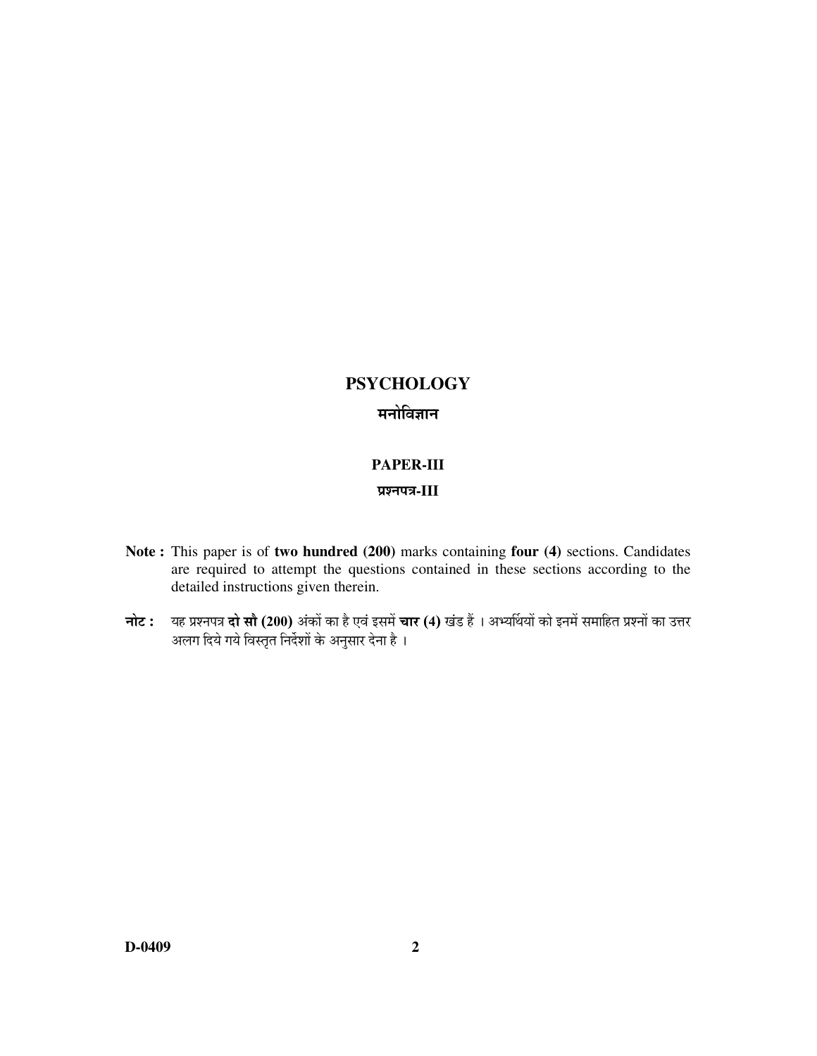# **PSYCHOLOGY** मनोविज्ञान

# **PAPER-III** प्रश्नपत्र- $III$

- Note: This paper is of two hundred (200) marks containing four (4) sections. Candidates are required to attempt the questions contained in these sections according to the detailed instructions given therein.
- नोट : यह प्रश्नपत्र दो सौ (200) अंकों का है एवं इसमें चार (4) खंड हैं । अभ्यर्थियों को इनमें समाहित प्रश्नों का उत्तर अलग दिये गये विस्तृत निर्देशों के अनुसार देना है ।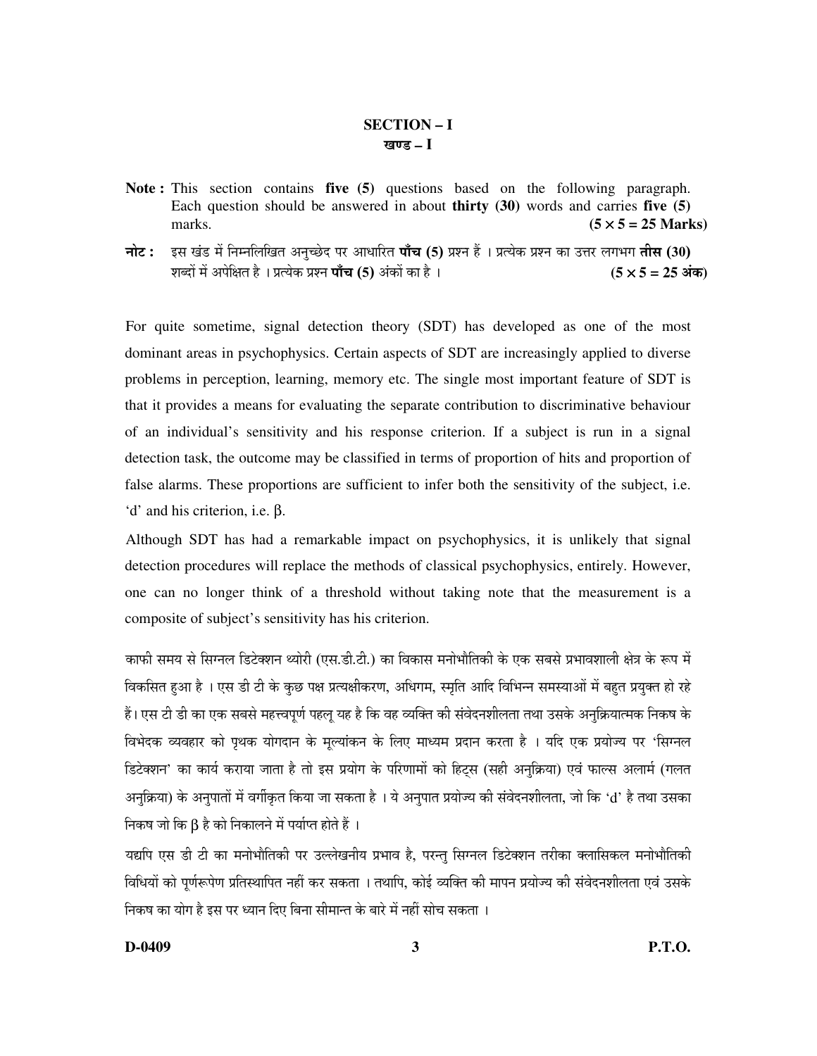#### **SECTION-I** खण्ड – I

- Note: This section contains five (5) questions based on the following paragraph. Each question should be answered in about thirty  $(30)$  words and carries five  $(5)$ marks.  $(5 \times 5 = 25$  Marks)
- इस खंड में निम्नलिखित अनुच्छेद पर आधारित **पाँच (5)** प्रश्न हैं । प्रत्येक प्रश्न का उत्तर लगभग **तीस (30)** नोट : शब्दों में अपेक्षित है । प्रत्येक प्रश्न **पाँच (5)** अंकों का है ।  $(5 \times 5 = 25 \text{ sign})$

For quite sometime, signal detection theory (SDT) has developed as one of the most dominant areas in psychophysics. Certain aspects of SDT are increasingly applied to diverse problems in perception, learning, memory etc. The single most important feature of SDT is that it provides a means for evaluating the separate contribution to discriminative behaviour of an individual's sensitivity and his response criterion. If a subject is run in a signal detection task, the outcome may be classified in terms of proportion of hits and proportion of false alarms. These proportions are sufficient to infer both the sensitivity of the subject, i.e.  $d'$  and his criterion, i.e.  $\beta$ .

Although SDT has had a remarkable impact on psychophysics, it is unlikely that signal detection procedures will replace the methods of classical psychophysics, entirely. However, one can no longer think of a threshold without taking note that the measurement is a composite of subject's sensitivity has his criterion.

काफी समय से सिग्नल डिटेक्शन थ्योरी (एस.डी.टी.) का विकास मनोभौतिकी के एक सबसे प्रभावशाली क्षेत्र के रूप में विकसित हुआ है । एस डी टी के कुछ पक्ष प्रत्यक्षीकरण, अधिगम, स्मृति आदि विभिन्न समस्याओं में बहुत प्रयुक्त हो रहे हैं। एस टी डी का एक सबसे महत्त्वपर्ण पहल यह है कि वह व्यक्ति की संवेदनशीलता तथा उसके अनक्रियात्मक निकष के विभेदक व्यवहार को पृथक योगदान के मुल्यांकन के लिए माध्यम प्रदान करता है । यदि एक प्रयोज्य पर 'सिग्नल डिटेक्शन' का कार्य कराया जाता है तो इस प्रयोग के परिणामों को हिट्स (सही अनुक्रिया) एवं फाल्स अलार्म (गलत अनुक्रिया) के अनुपातों में वर्गीकृत किया जा सकता है । ये अनुपात प्रयोज्य की संवेदनशीलता, जो कि 'd' है तथा उसका निकष जो कि β है को निकालने में पर्याप्त होते हैं ।

यद्यपि एस डी टी का मनोभौतिकी पर उल्लेखनीय प्रभाव है, परन्तु सिग्नल डिटेक्शन तरीका क्लासिकल मनोभौतिकी विधियों को पर्णरूपेण प्रतिस्थापित नहीं कर सकता । तथापि, कोई व्यक्ति की मापन प्रयोज्य की संवेदनशीलता एवं उसके निकष का योग है इस पर ध्यान दिए बिना सीमान्त के बारे में नहीं सोच सकता ।

#### D-0409

**P.T.O.**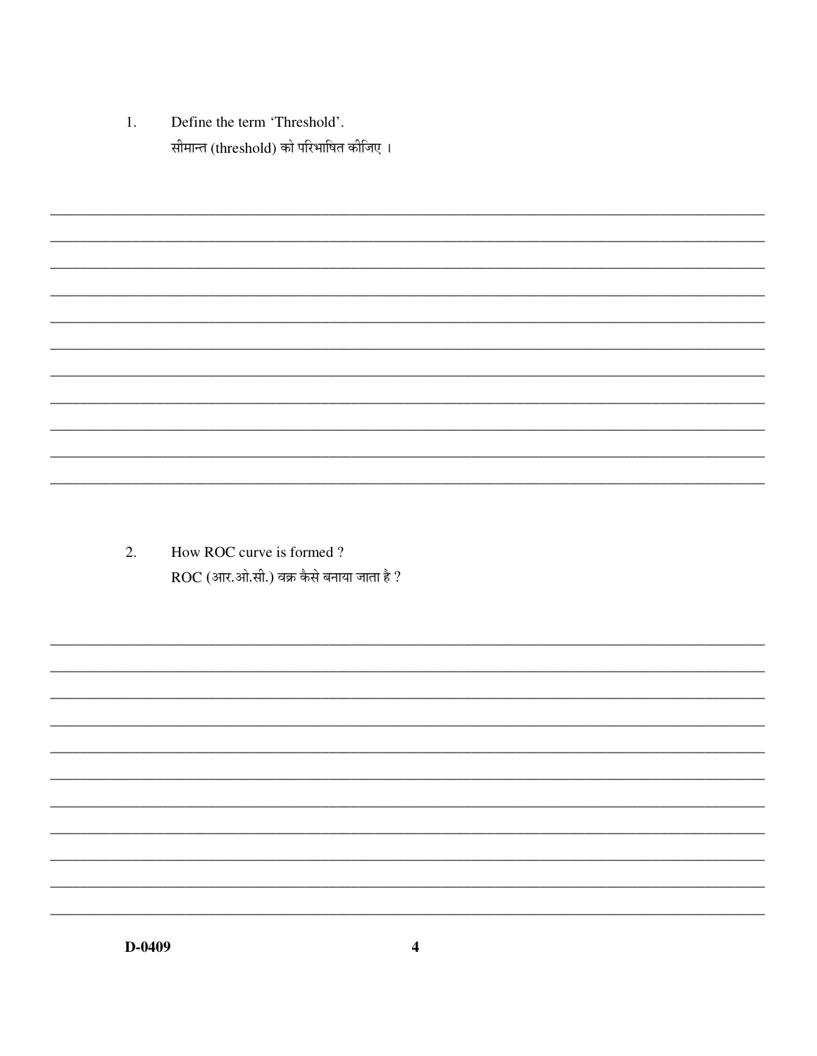$1.$ Define the term 'Threshold'. सीमान्त (threshold) को परिभाषित कीजिए ।

 $\overline{2}$ . How ROC curve is formed?  $\bf{ROC}$  (आर.ओ.सी.) वक्र कैसे बनाया जाता है ?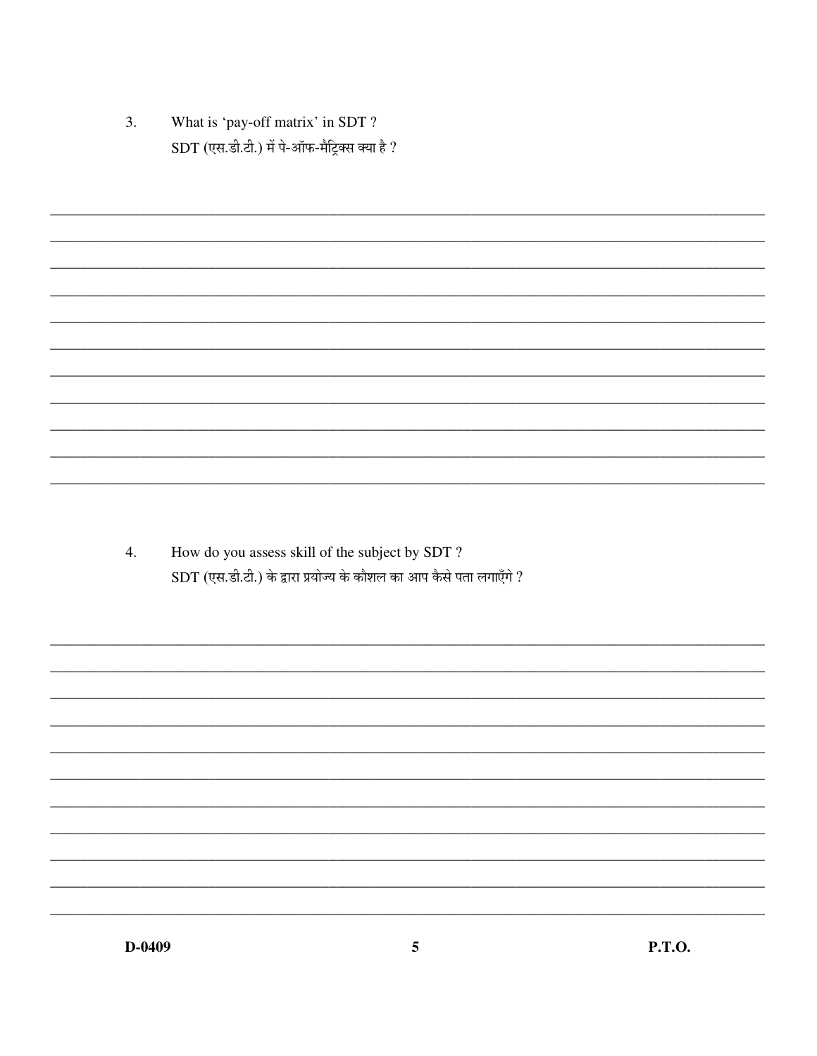What is 'pay-off matrix' in SDT ?  $3.$ SDT (एस.डी.टी.) में पे-ऑफ-मैट्रिक्स क्या है ?

How do you assess skill of the subject by SDT?  $\overline{4}$ .  $\rm SDT$  (एस.डी.टी.) के द्वारा प्रयोज्य के कौशल का आप कैसे पता लगाएँगे ?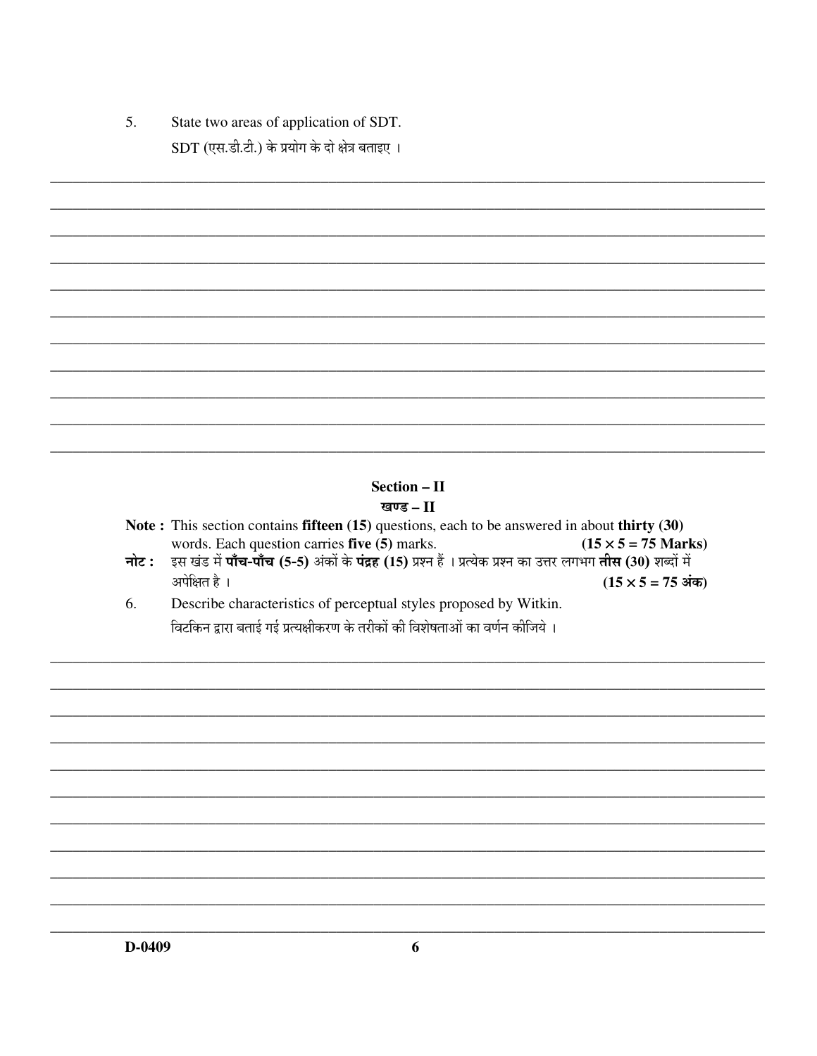5. State two areas of application of SDT. SDT (एस.डी.टी.) के प्रयोग के दो क्षेत्र बताइए ।

### Section - II खण्ड $-II$

- Note: This section contains fifteen (15) questions, each to be answered in about thirty (30) words. Each question carries five (5) marks.  $(15 \times 5 = 75$  Marks) इस खंड में **पाँच-पाँच (5-5)** अंकों के **पंद्रह (15)** प्रश्न हैं । प्रत्येक प्रश्न का उत्तर लगभग **तीस (30)** शब्दों में नोट :
- अपेक्षित है ।  $(15 \times 5 = 75 \text{ m})$
- Describe characteristics of perceptual styles proposed by Witkin. 6. विटकिन द्वारा बताई गई प्रत्यक्षीकरण के तरीकों की विशेषताओं का वर्णन कीजिये ।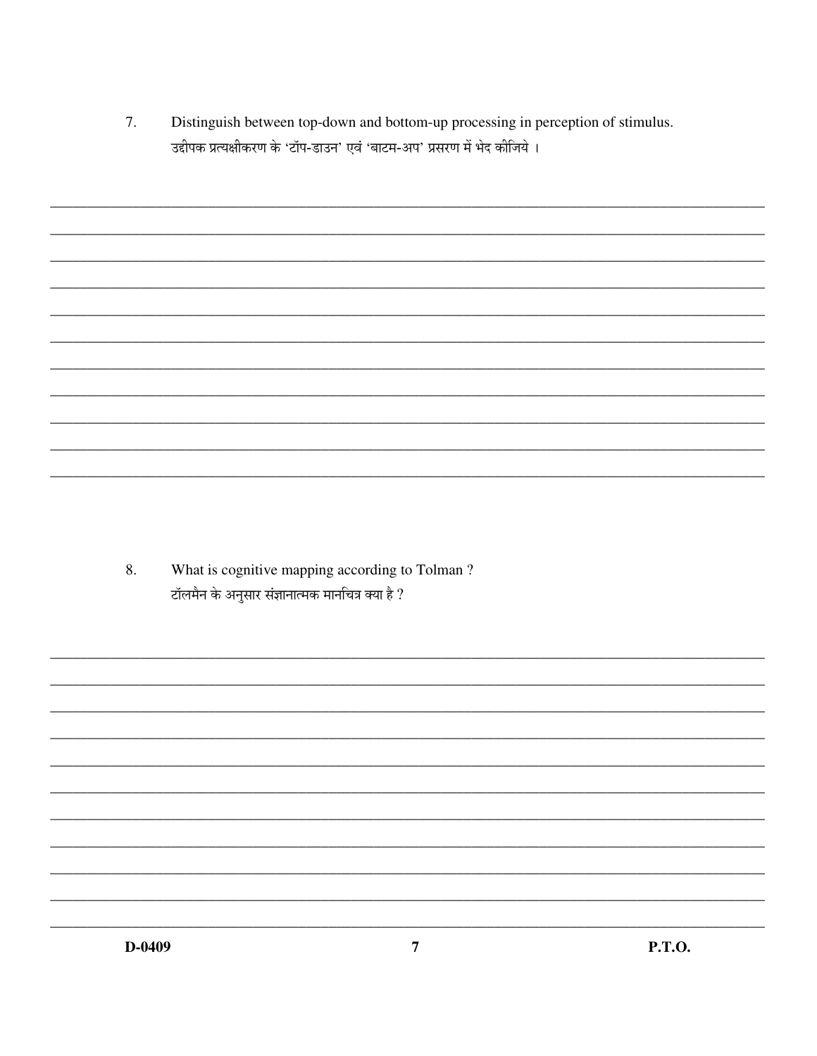7. Distinguish between top-down and bottom-up processing in perception of stimulus. उद्दीपक प्रत्यक्षीकरण के 'टॉप-डाउन' एवं 'बाटम-अप' प्रसरण में भेद कीजिये ।

What is cognitive mapping according to Tolman? 8. टॉलमैन के अनुसार संज्ञानात्मक मानचित्र क्या है ?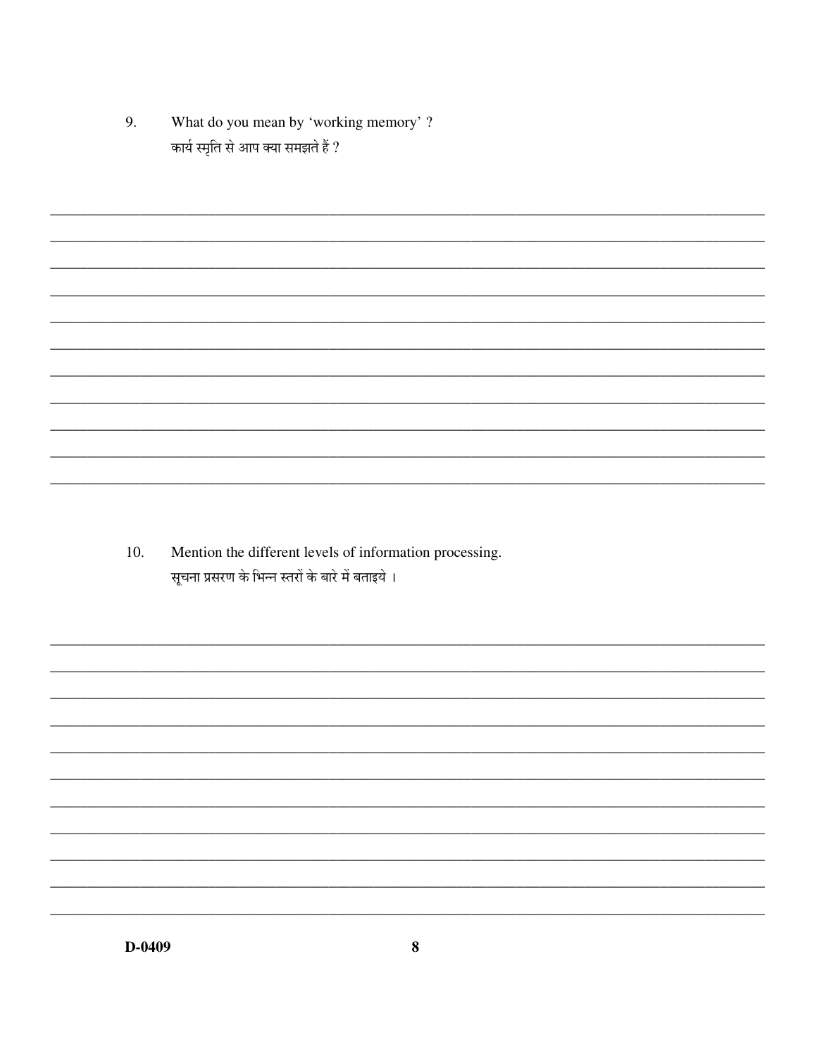What do you mean by 'working memory'? 9. कार्य स्मृति से आप क्या समझते हैं ?

Mention the different levels of information processing.  $10.$ सूचना प्रसरण के भिन्न स्तरों के बारे में बताइये ।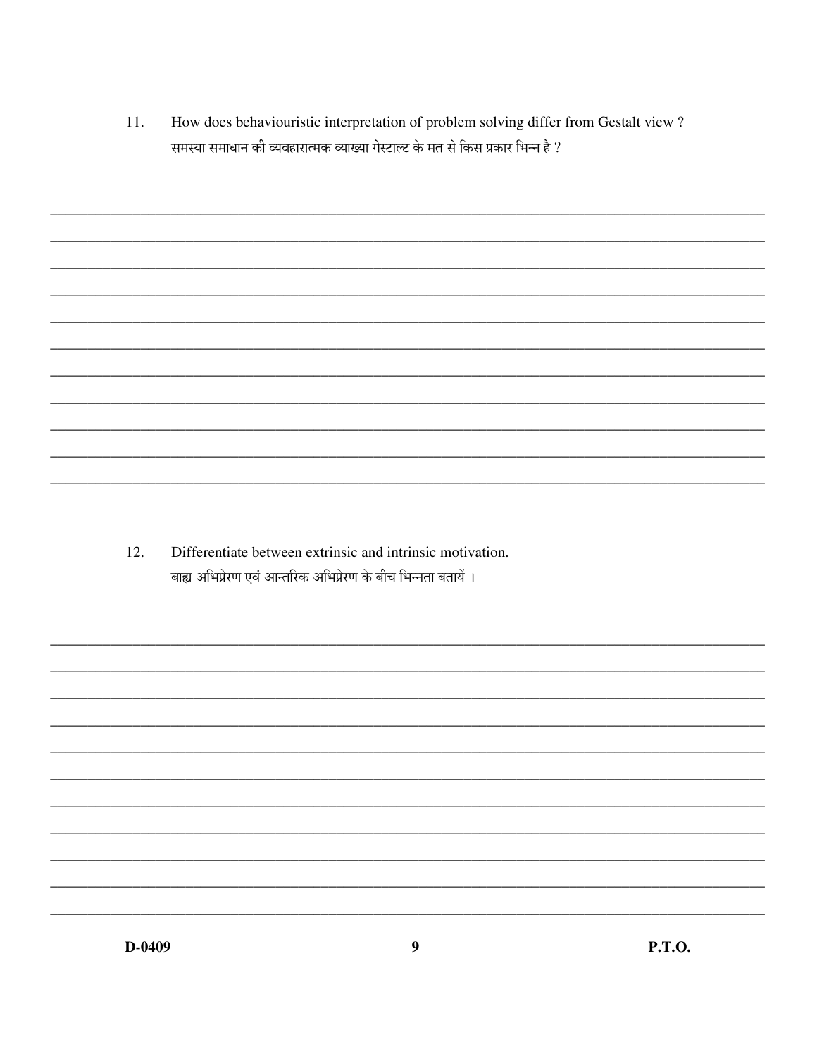11. How does behaviouristic interpretation of problem solving differ from Gestalt view? समस्या समाधान की व्यवहारात्मक व्याख्या गेस्टाल्ट के मत से किस प्रकार भिन्न है ?

 $12.$ Differentiate between extrinsic and intrinsic motivation. बाह्य अभिप्रेरण एवं आन्तरिक अभिप्रेरण के बीच भिन्नता बतायें ।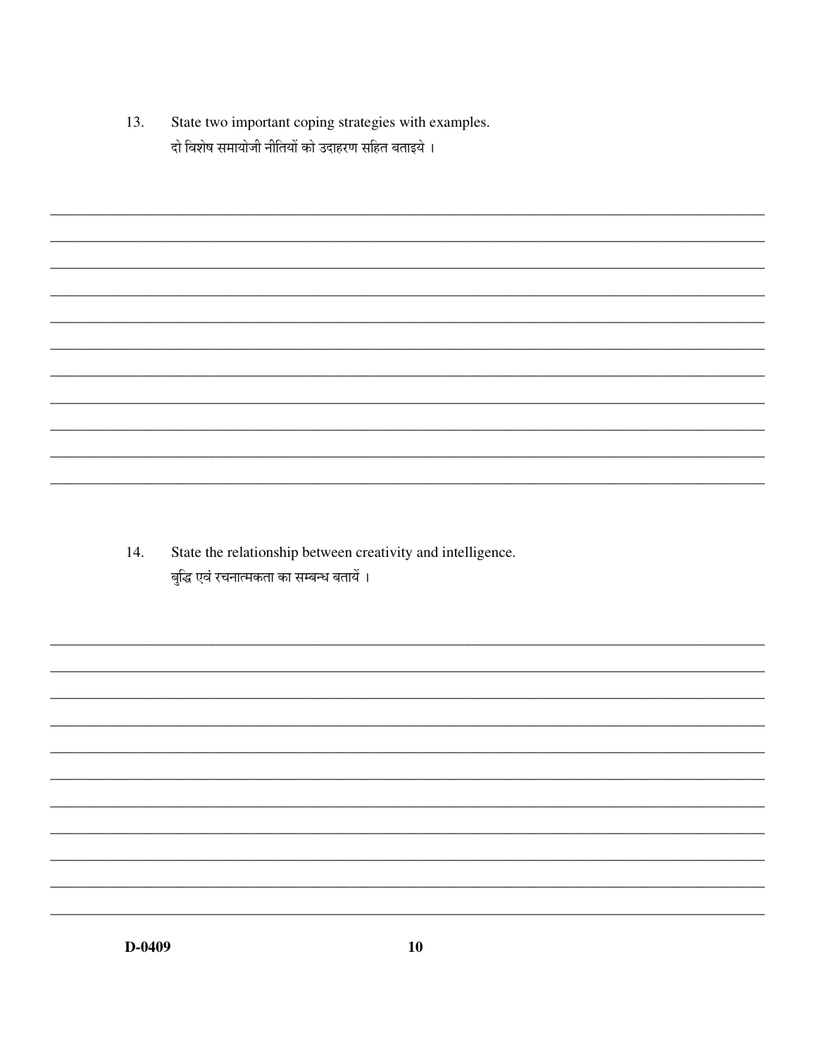13. State two important coping strategies with examples. दो विशेष समायोजी नीतियों को उदाहरण सहित बताइये ।

State the relationship between creativity and intelligence. 14. बुद्धि एवं रचनात्मकता का सम्बन्ध बतायें ।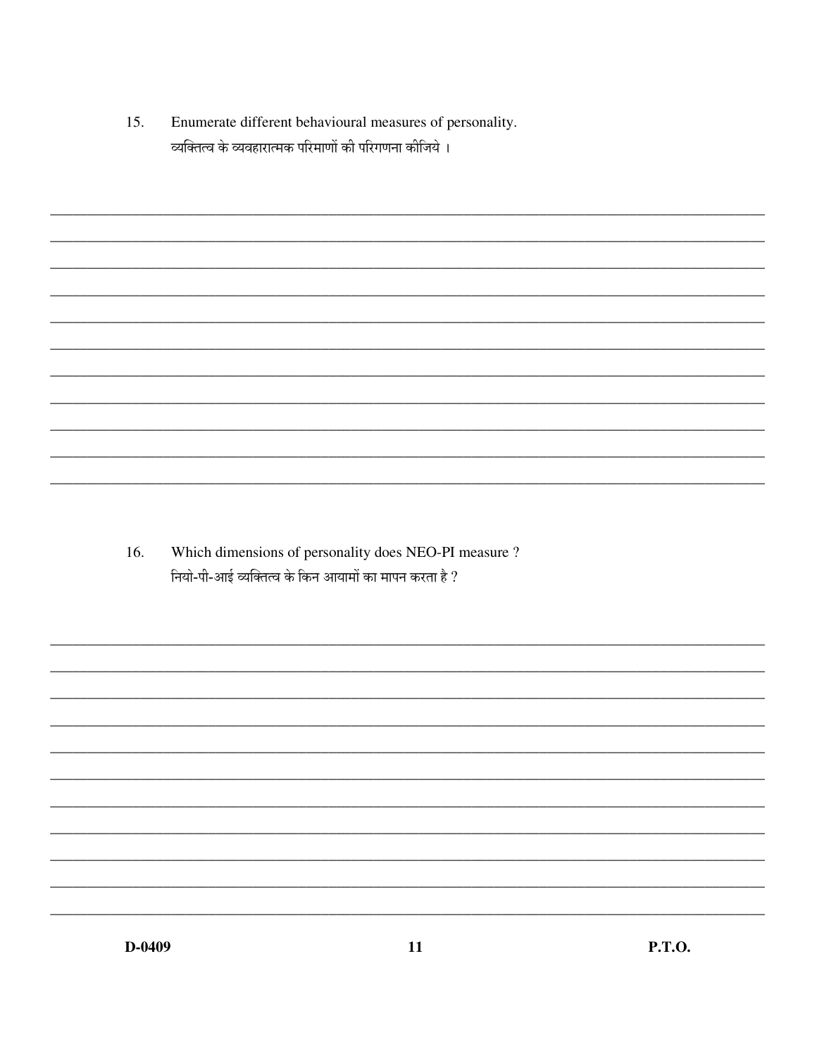15. Enumerate different behavioural measures of personality. व्यक्तित्व के व्यवहारात्मक परिमाणों की परिगणना कीजिये ।

Which dimensions of personality does NEO-PI measure ? 16. नियो-पी-आई व्यक्तित्व के किन आयामों का मापन करता है ?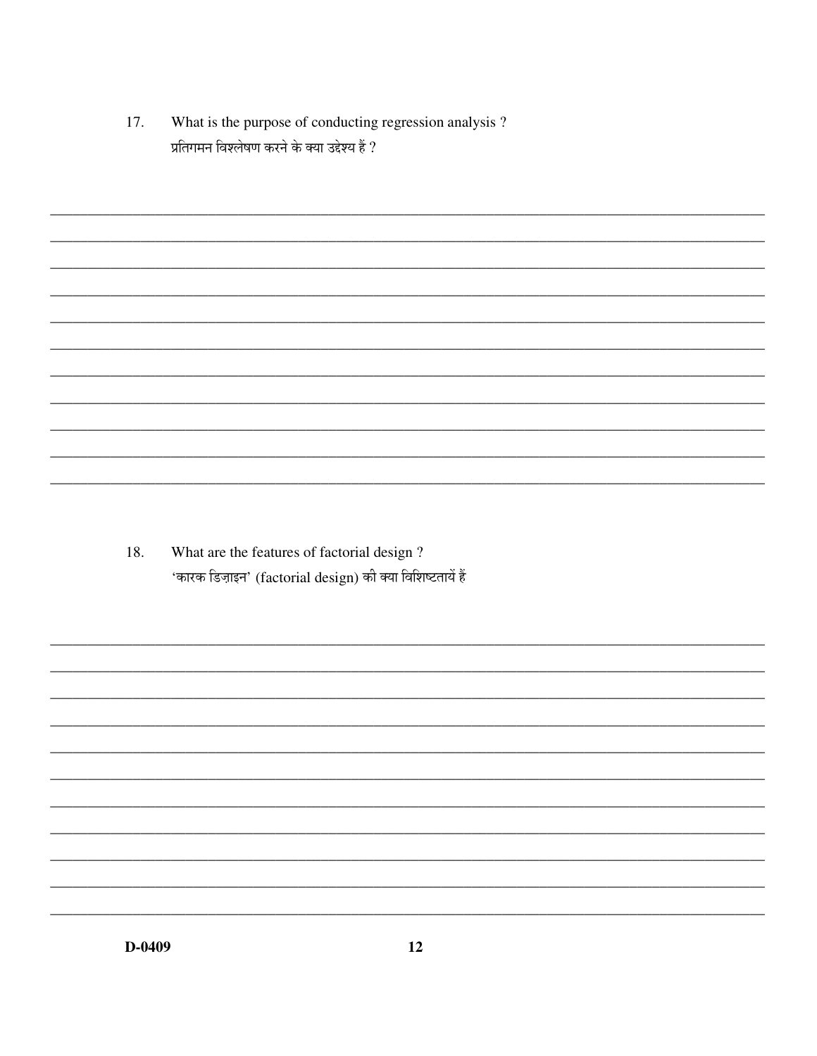17. What is the purpose of conducting regression analysis? प्रतिगमन विश्लेषण करने के क्या उद्देश्य हैं ?

What are the features of factorial design? 18. 'कारक डिज़ाइन' (factorial design) की क्या विशिष्टतायें हैं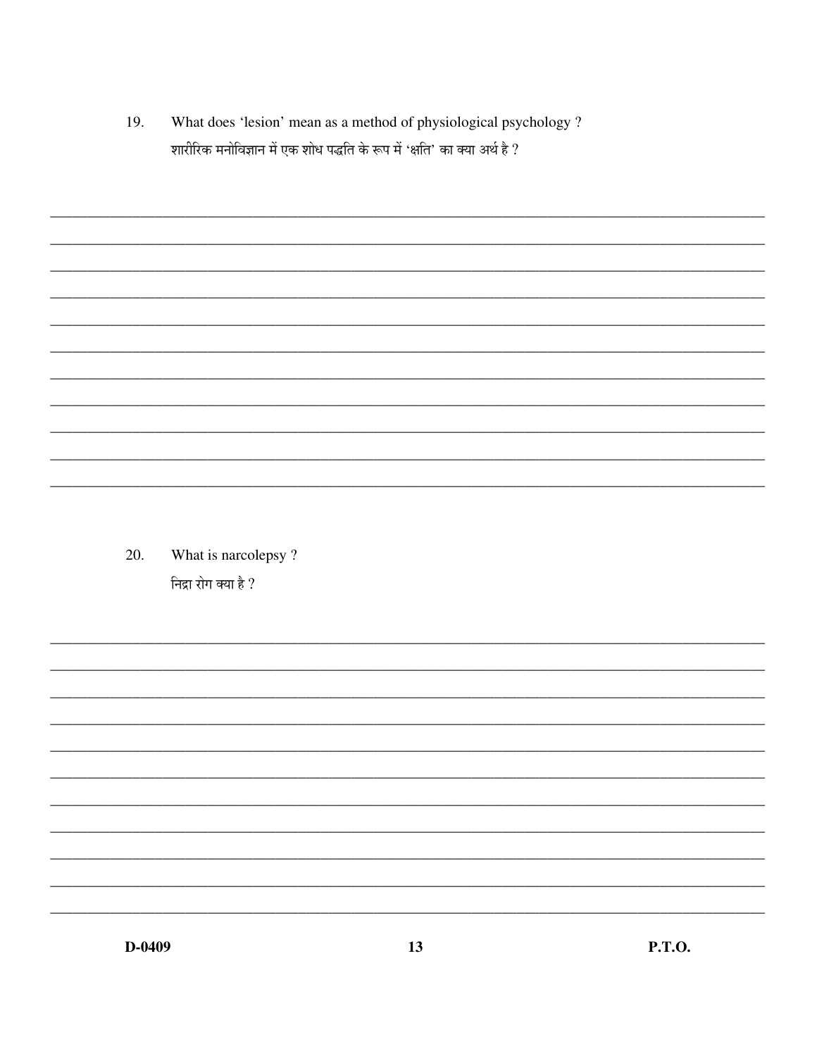19. What does 'lesion' mean as a method of physiological psychology? शारीरिक मनोविज्ञान में एक शोध पद्धति के रूप में 'क्षति' का क्या अर्थ है ?

What is narcolepsy? 20. निद्रा रोग क्या है ?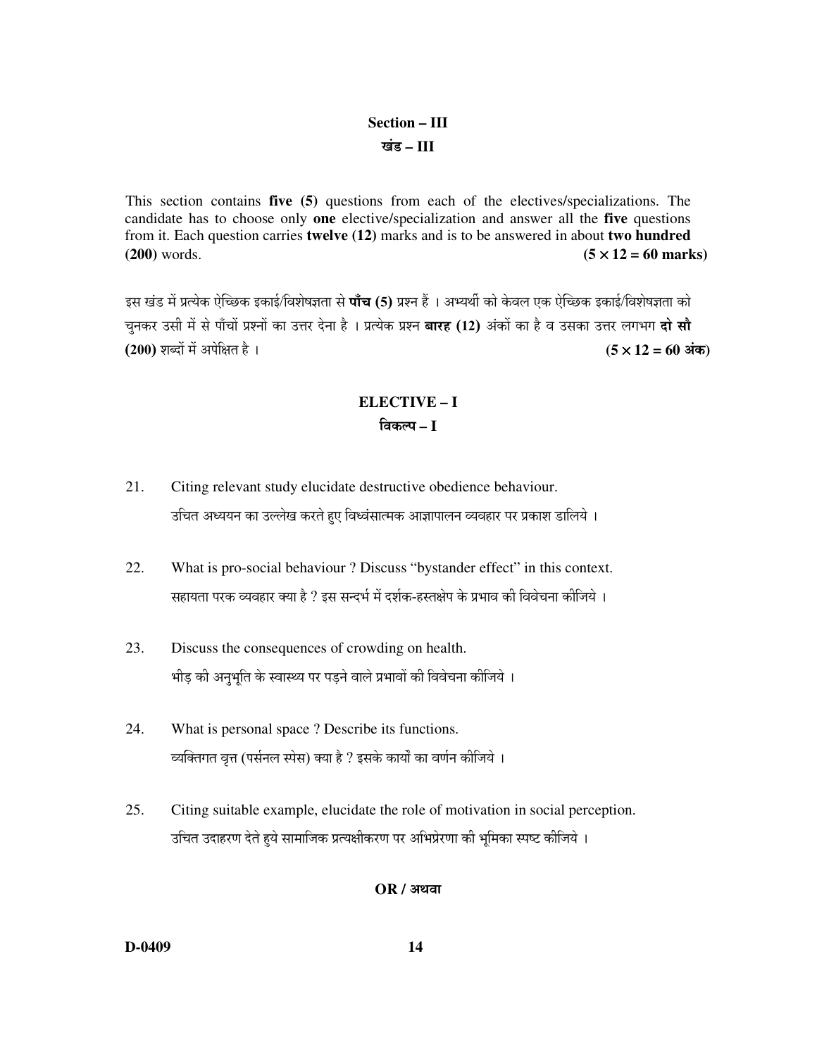### **Section – III ग्वंड – III**

This section contains **five (5)** questions from each of the electives/specializations. The candidate has to choose only **one** elective/specialization and answer all the **five** questions from it. Each question carries **twelve (12)** marks and is to be answered in about **two hundred (200)** words. **(5**  $\times$  **12 = 60 marks)** 

इस खंड में प्रत्येक ऐच्छिक इकाई/विशेषज्ञता से **पाँच (5)** प्रश्न हैं । अभ्यर्थी को केवल एक ऐच्छिक इकाई/विशेषज्ञता को चनकर उसी में से पाँचों प्रश्नों का उत्तर देना है । प्रत्येक प्रश्न **बारह (12)** अंकों का है व उसका उत्तर लगभग **दो सौ** (200) ¿Ö²¤üÖë ´Öë †¯Öê×.ÖŸÖ Æîü … **(5** × **12 = 60** †Ó%ú**)** 

# **ELECTIVE – I**  विकल्प – I

- 21. Citing relevant study elucidate destructive obedience behaviour. उचित अध्ययन का उल्लेख करते हुए विध्वंसात्मक आज्ञापालन व्यवहार पर प्रकाश डालिये ।
- 22. What is pro-social behaviour ? Discuss "bystander effect" in this context. सहायता परक व्यवहार क्या है ? इस सन्दर्भ में दर्शक-हस्तक्षेप के प्रभाव की विवेचना कीजिये ।
- 23. Discuss the consequences of crowding on health. भीड़ की अनुभूति के स्वास्थ्य पर पड़ने वाले प्रभावों की विवेचना कीजिये ।
- 24. What is personal space ? Describe its functions. व्यक्तिगत वत्त (पर्सनल स्पेस) क्या है ? इसके कार्यों का वर्णन कीजिये ।
- 25. Citing suitable example, elucidate the role of motivation in social perception. उचित उदाहरण देते हये सामाजिक प्रत्यक्षीकरण पर अभिप्रेरणा की भमिका स्पष्ट कीजिये ।

**OR / अथवा** 

#### **D-0409 14**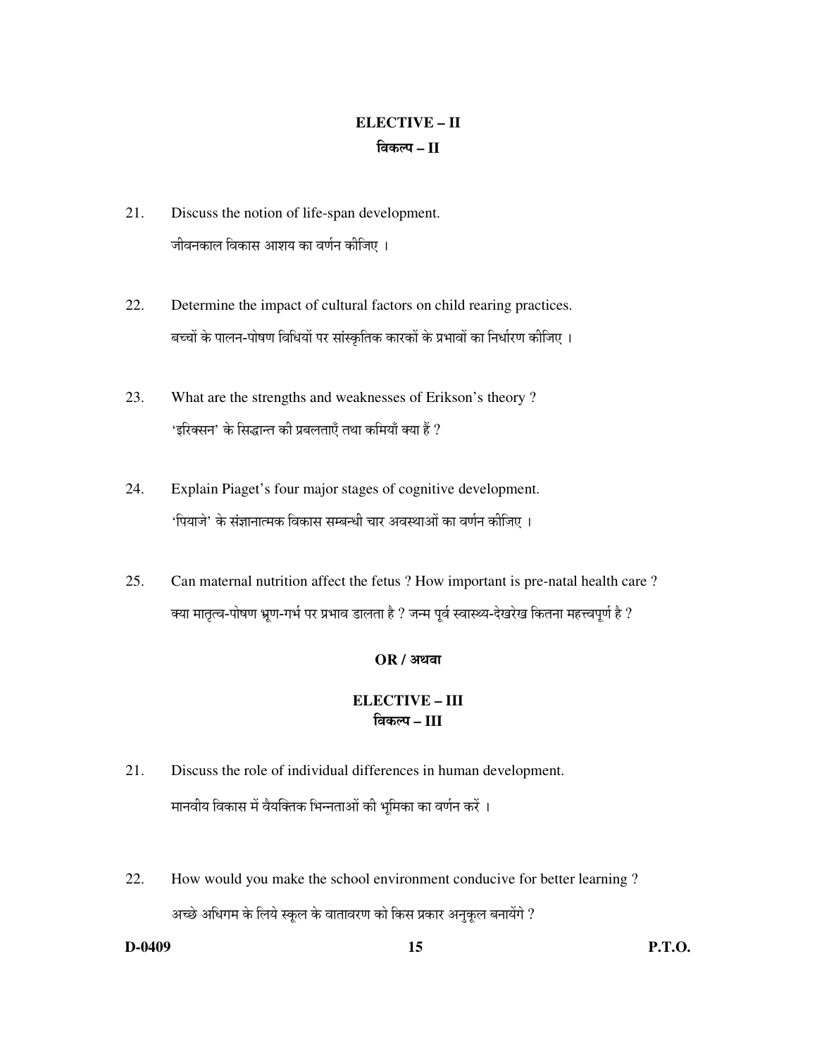# **ELECTIVE - II** विकल्प $-I$

- 21. Discuss the notion of life-span development. जीवनकाल विकास आशय का वर्णन कीजिए ।
- 22. Determine the impact of cultural factors on child rearing practices. बच्चों के पालन-पोषण विधियों पर सांस्कृतिक कारकों के प्रभावों का निर्धारण कीजिए ।
- 23. What are the strengths and weaknesses of Erikson's theory? 'इरिक्सन' के सिद्धान्त की प्रबलताएँ तथा कमियाँ क्या हैं ?
- 24. Explain Piaget's four major stages of cognitive development. 'पियाजे' के संज्ञानात्मक विकास सम्बन्धी चार अवस्थाओं का वर्णन कीजिए ।
- 25. Can maternal nutrition affect the fetus? How important is pre-natal health care? क्या मातृत्व-पोषण भ्रूण-गर्भ पर प्रभाव डालता है ? जन्म पूर्व स्वास्थ्य-देखरेख कितना महत्त्वपूर्ण है ?

### $OR/$ अथवा

### ELECTIVE - III विकल्प – III

- 21. Discuss the role of individual differences in human development. मानवीय विकास में वैयक्तिक भिन्नताओं की भूमिका का वर्णन करें ।
- 22. How would you make the school environment conducive for better learning? अच्छे अधिगम के लिये स्कूल के वातावरण को किस प्रकार अनुकूल बनायेंगे ?

#### D-0409

**P.T.O.**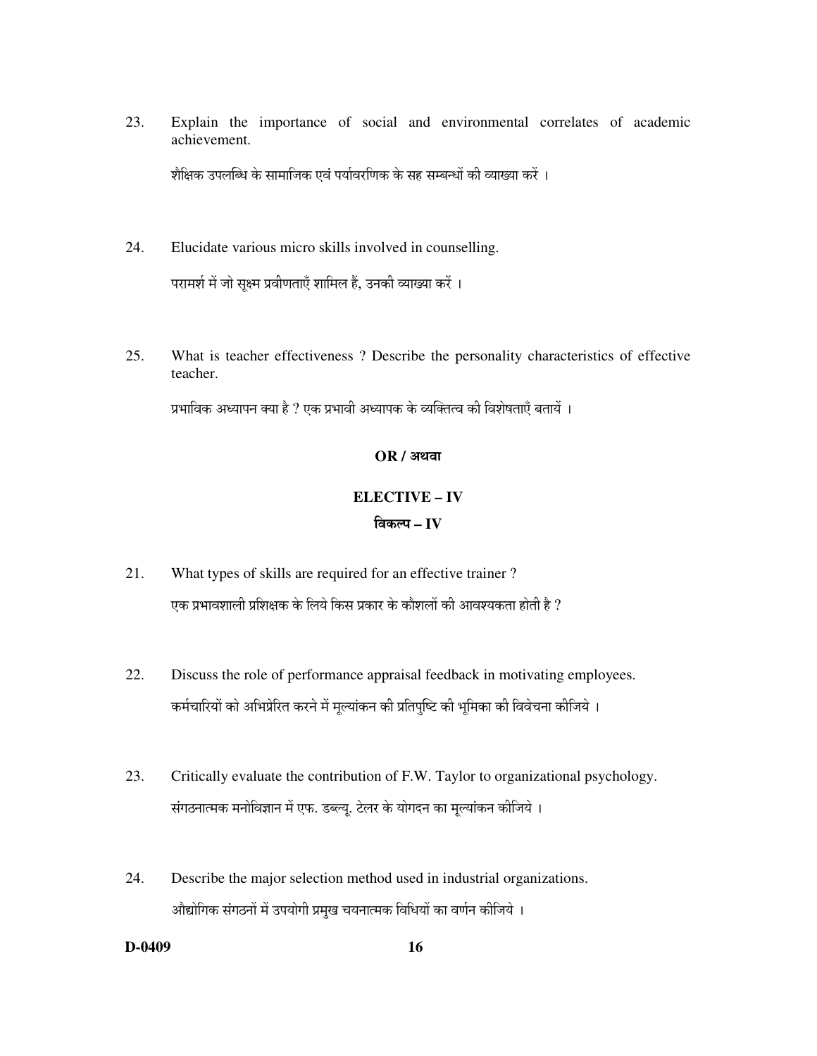23. Explain the importance of social and environmental correlates of academic achievement.

शैक्षिक उपलब्धि के सामाजिक एवं पर्यावरणिक के सह सम्बन्धों की व्याख्या करें ।

24. Elucidate various micro skills involved in counselling.

परामर्श में जो सुक्ष्म प्रवीणताएँ शामिल हैं, उनकी व्याख्या करें ।

25. What is teacher effectiveness? Describe the personality characteristics of effective teacher.

प्रभाविक अध्यापन क्या है ? एक प्रभावी अध्यापक के व्यक्तित्व की विशेषताएँ बतायें ।

#### $OR / 327$

# **ELECTIVE - IV** विकल्प $-IV$

- 21. What types of skills are required for an effective trainer? एक प्रभावशाली प्रशिक्षक के लिये किस प्रकार के कौशलों की आवश्यकता होती है ?
- $22.$ Discuss the role of performance appraisal feedback in motivating employees. कर्मचारियों को अभिप्रेरित करने में मुल्यांकन की प्रतिपुष्टि की भुमिका की विवेचना कीजिये ।
- 23. Critically evaluate the contribution of F.W. Taylor to organizational psychology. संगठनात्मक मनोविज्ञान में एफ. डब्ल्यू. टेलर के योगदन का मूल्यांकन कीजिये ।
- 24. Describe the major selection method used in industrial organizations. औद्योगिक संगठनों में उपयोगी प्रमुख चयनात्मक विधियों का वर्णन कीजिये ।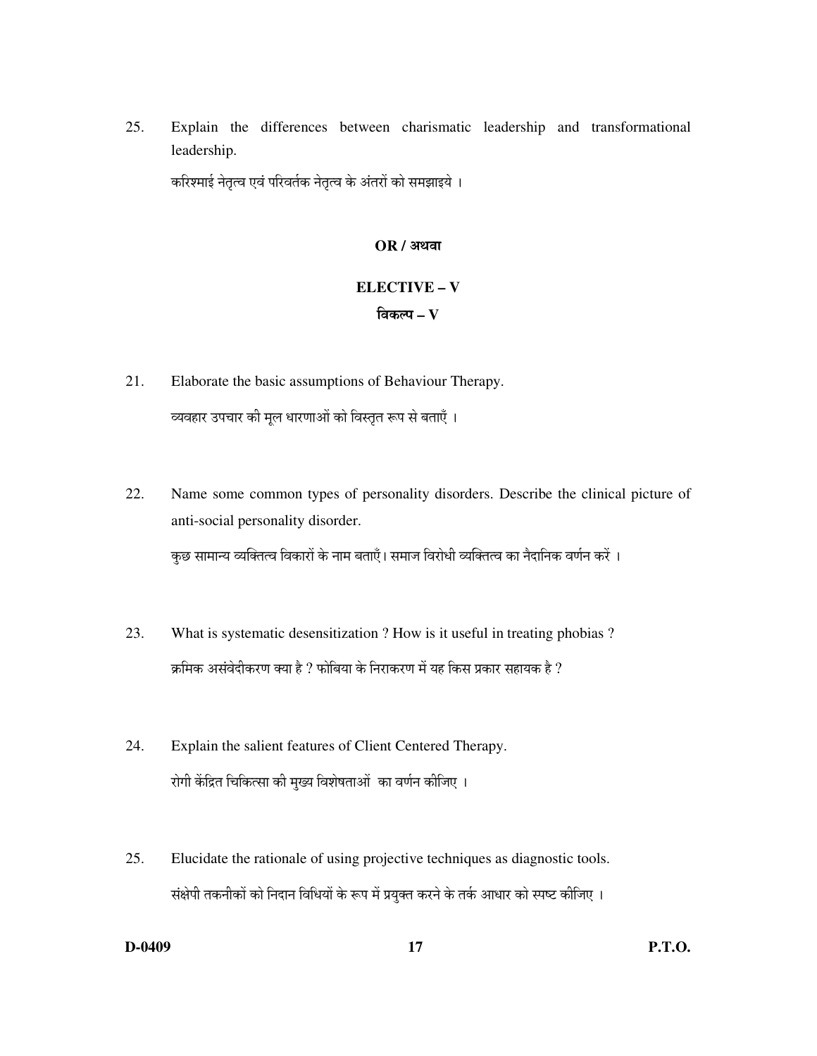25. Explain the differences between charismatic leadership and transformational leadership.

करिश्माई नेतृत्व एवं परिवर्तक नेतृत्व के अंतरों को समझाइये ।

#### $OR / 327$

#### **ELECTIVE - V**

#### विकल्प $- V$

- 21. Elaborate the basic assumptions of Behaviour Therapy. व्यवहार उपचार की मूल धारणाओं को विस्तृत रूप से बताएँ ।
- 22. Name some common types of personality disorders. Describe the clinical picture of anti-social personality disorder.

कुछ सामान्य व्यक्तित्व विकारों के नाम बताएँ। समाज विरोधी व्यक्तित्व का नैदानिक वर्णन करें ।

- 23. What is systematic desensitization ? How is it useful in treating phobias ? क्रमिक असंवेदीकरण क्या है ? फोबिया के निराकरण में यह किस प्रकार सहायक है ?
- 24. Explain the salient features of Client Centered Therapy. रोगी केंद्रित चिकित्सा की मुख्य विशेषताओं का वर्णन कीजिए ।
- 25. Elucidate the rationale of using projective techniques as diagnostic tools. संक्षेपी तकनीकों को निदान विधियों के रूप में प्रयुक्त करने के तर्क आधार को स्पष्ट कीजिए ।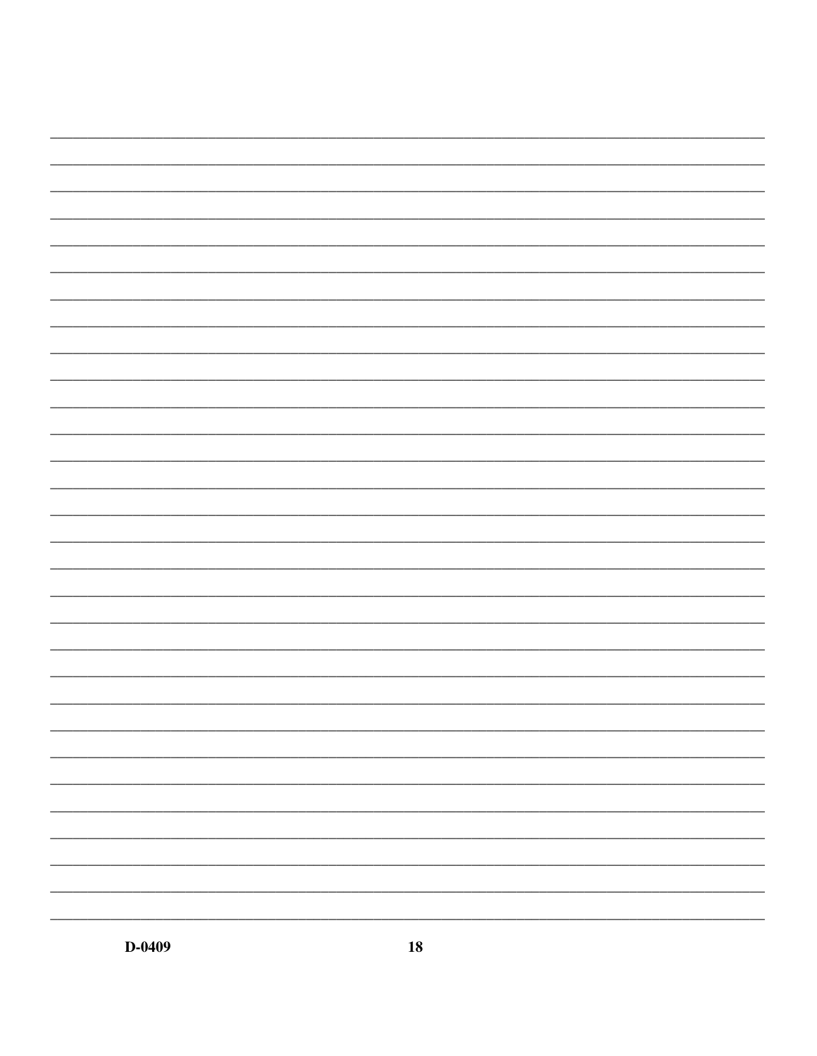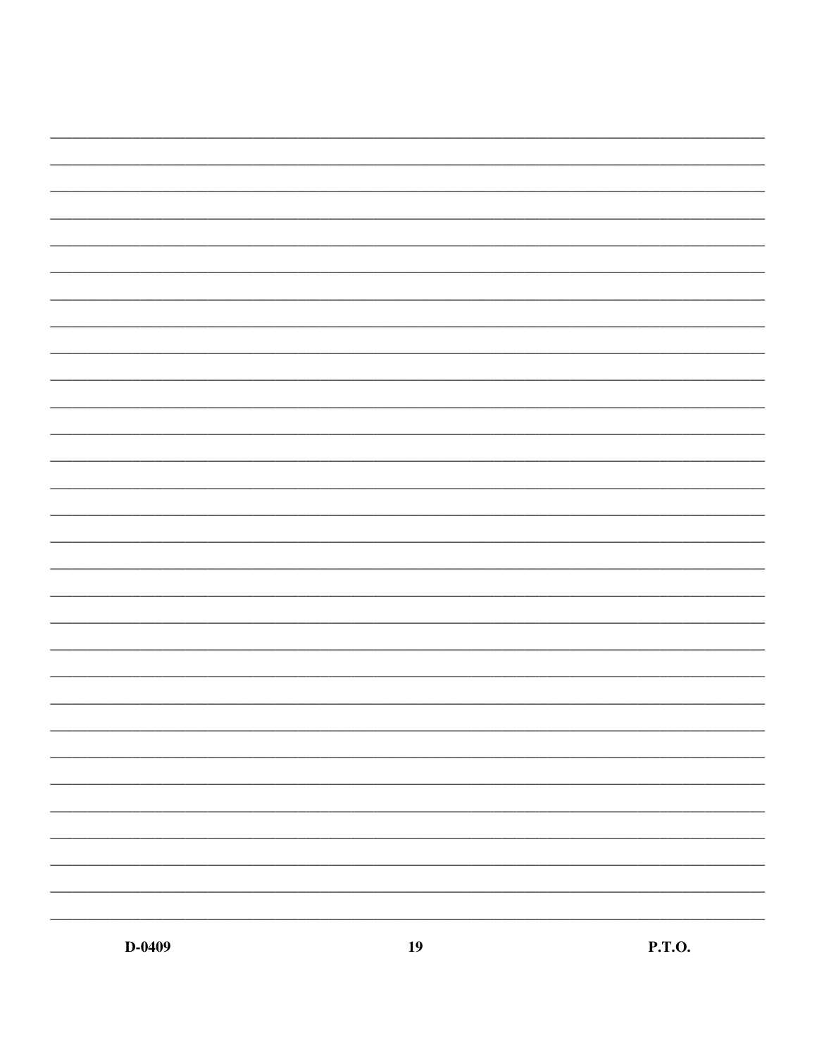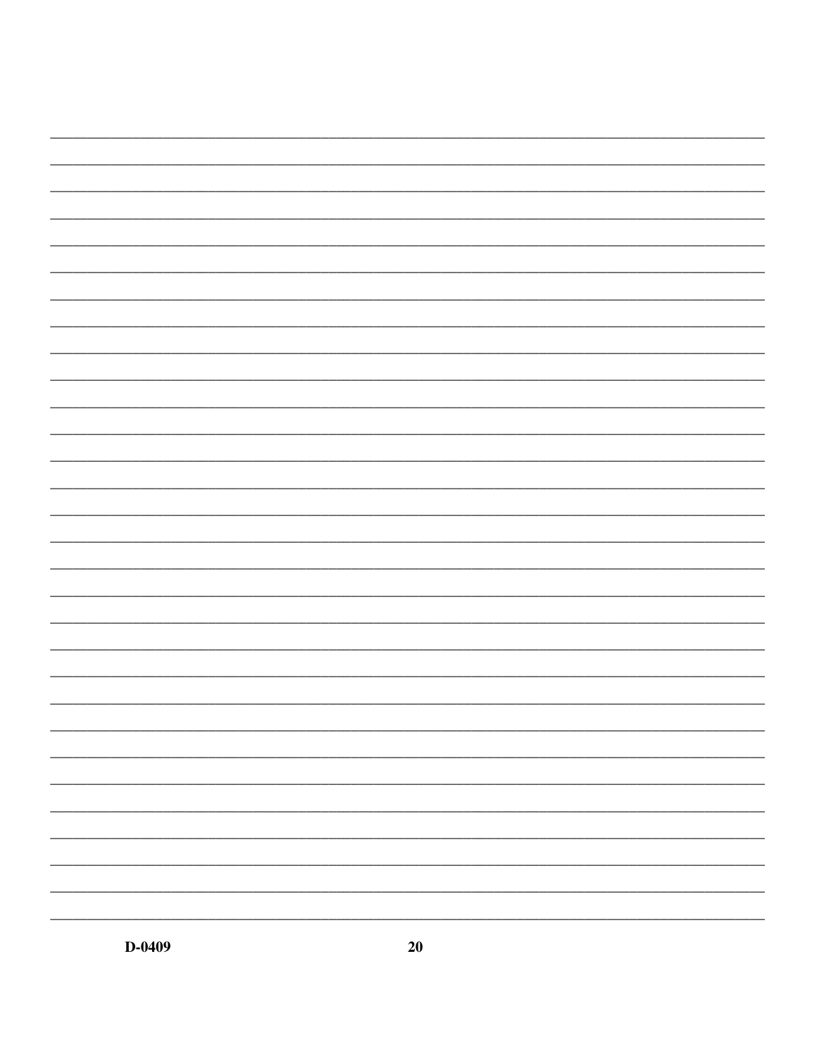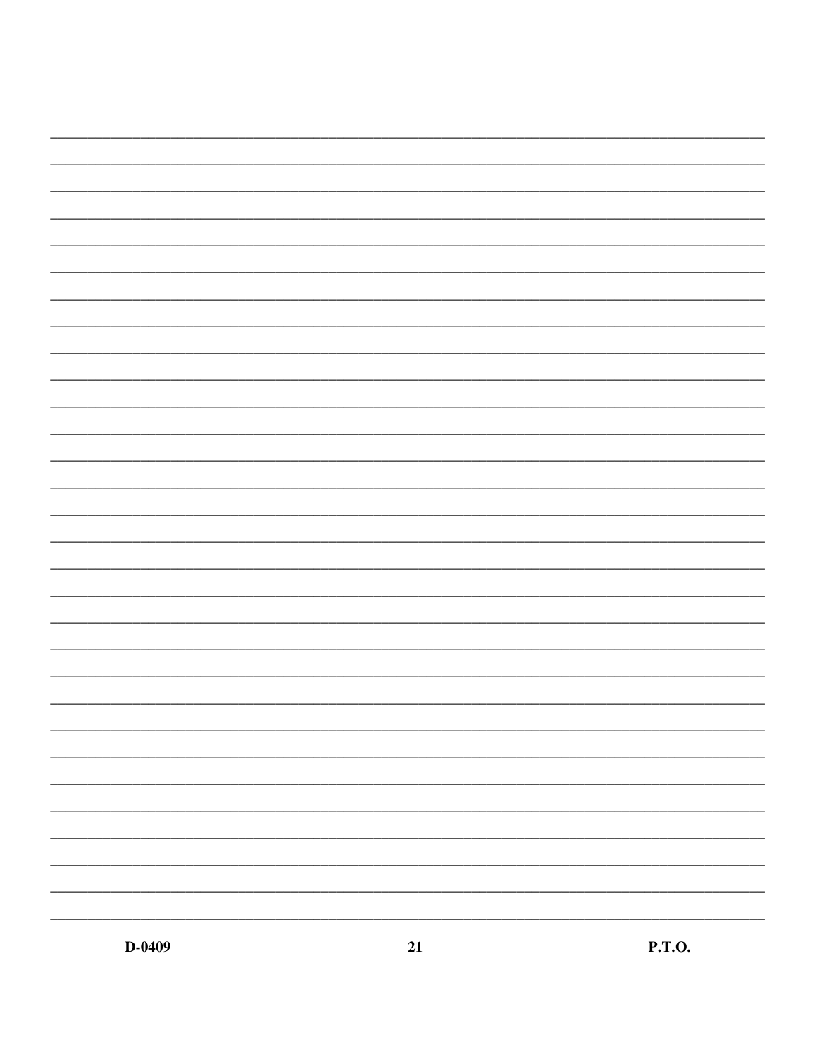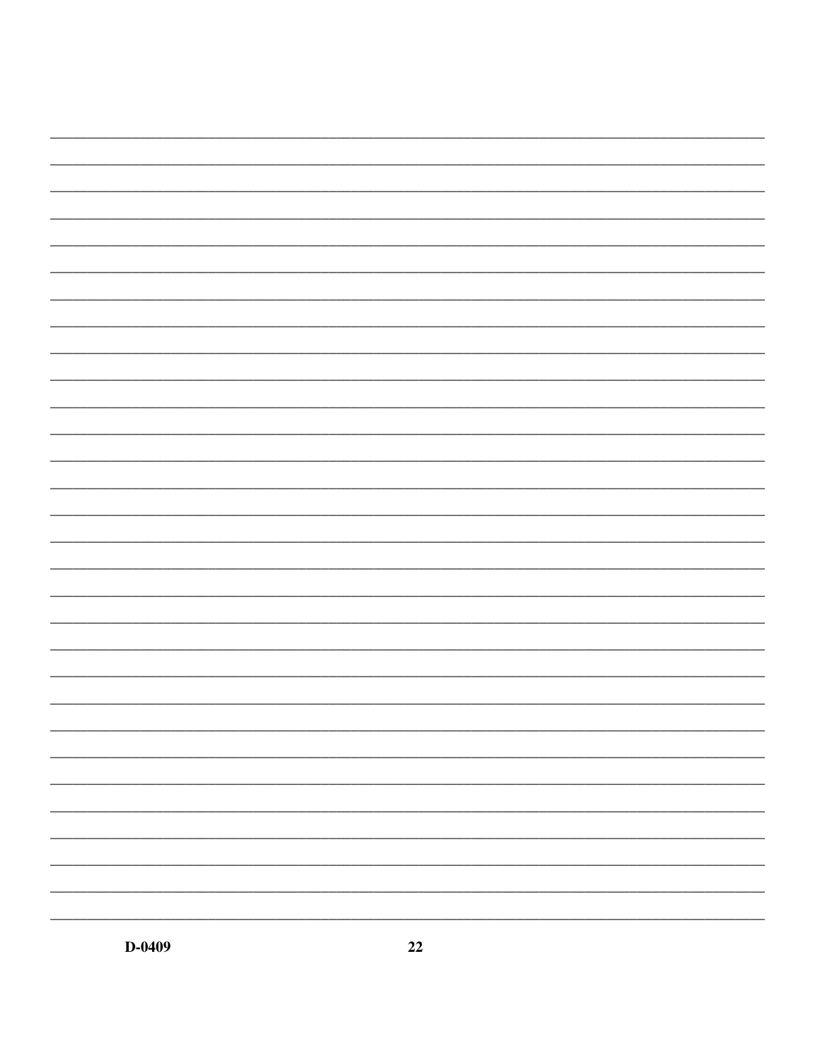![](_page_21_Figure_0.jpeg)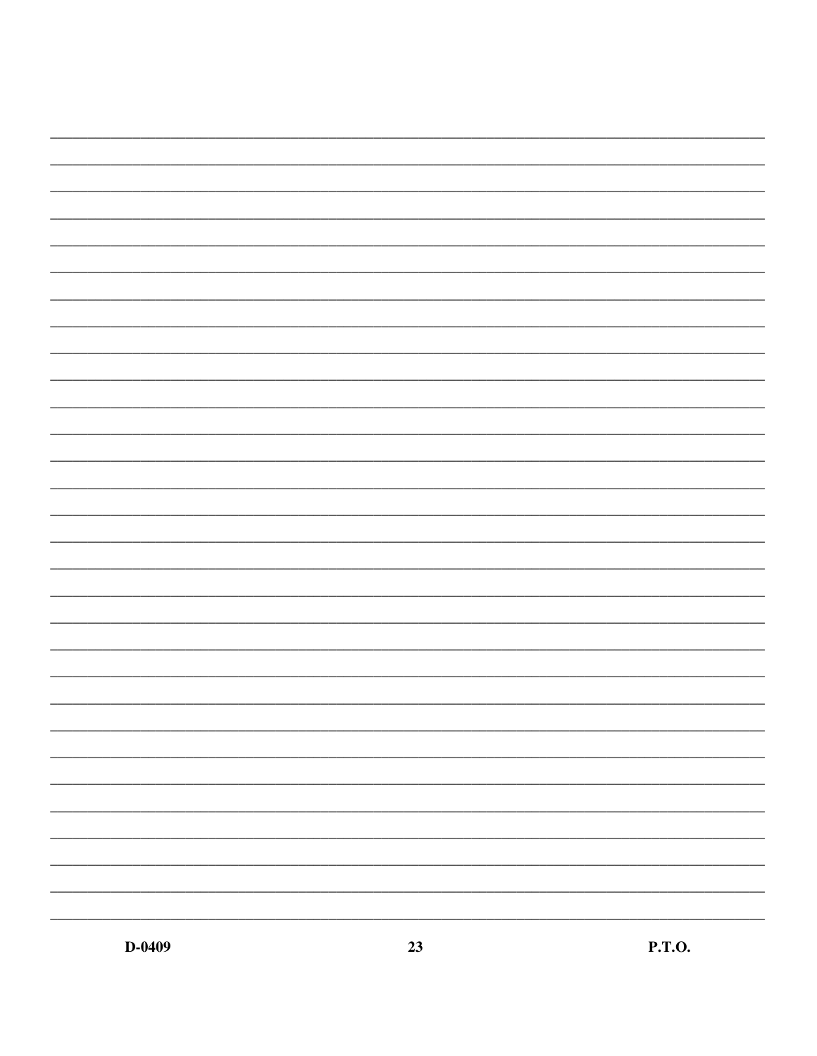![](_page_22_Figure_0.jpeg)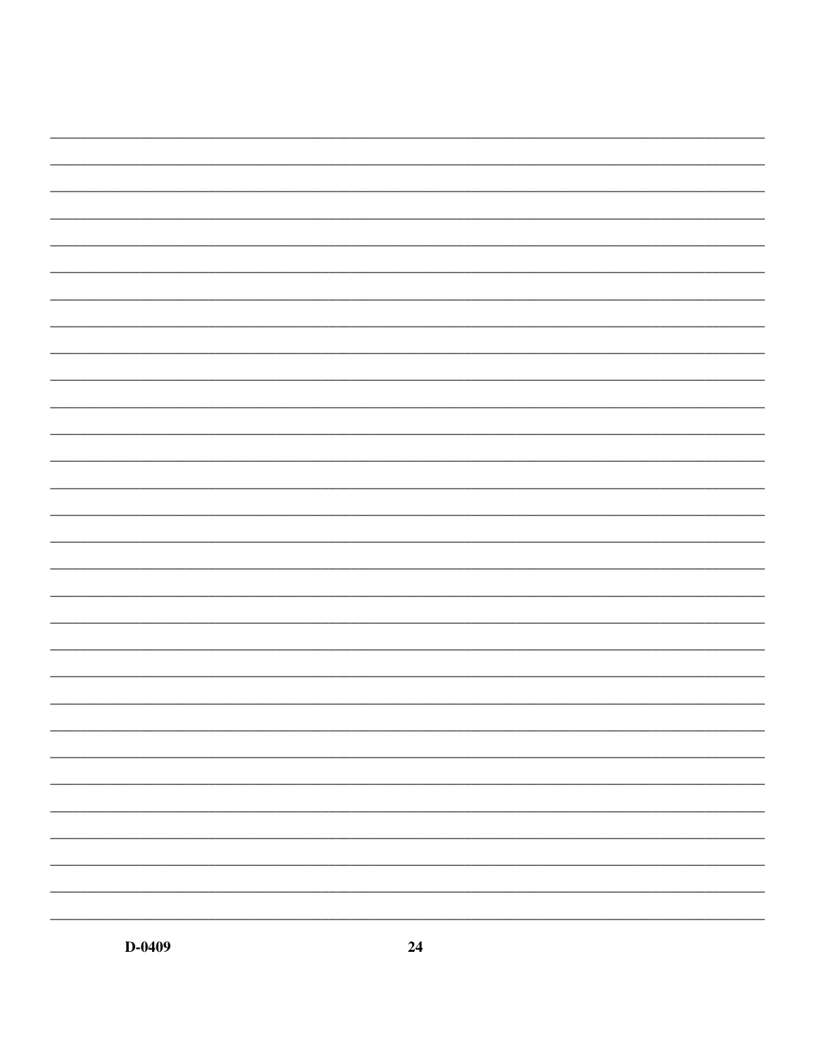![](_page_23_Figure_0.jpeg)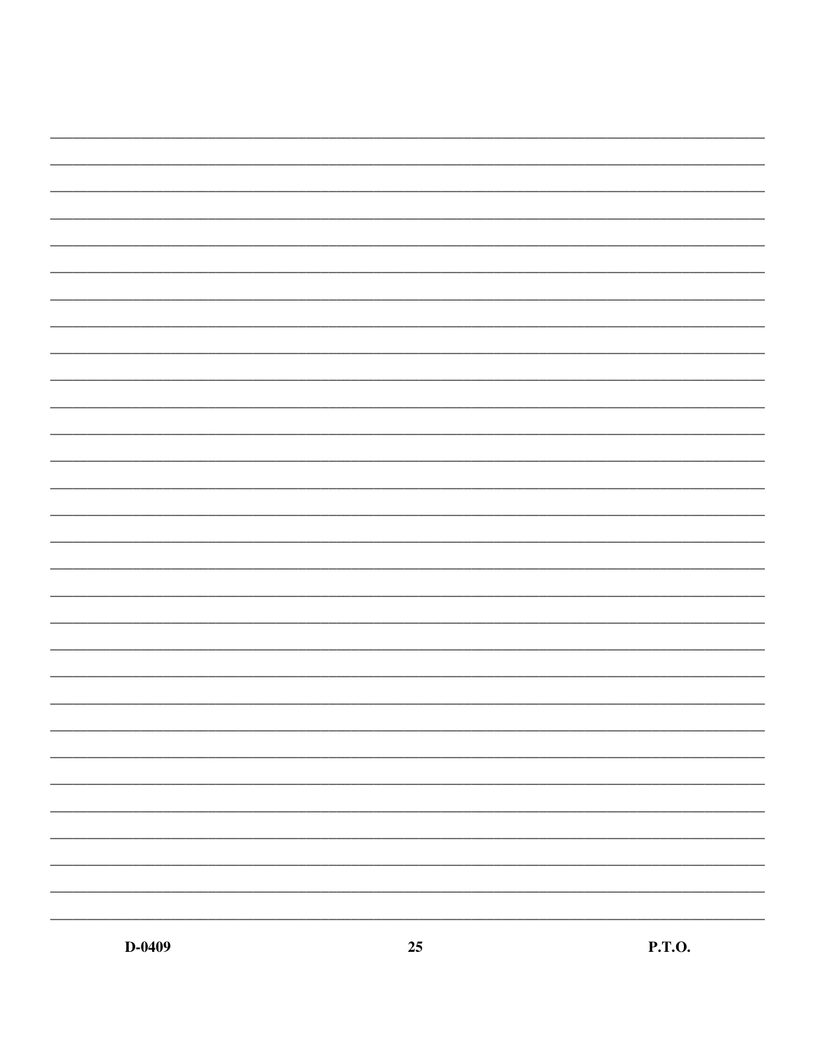![](_page_24_Figure_0.jpeg)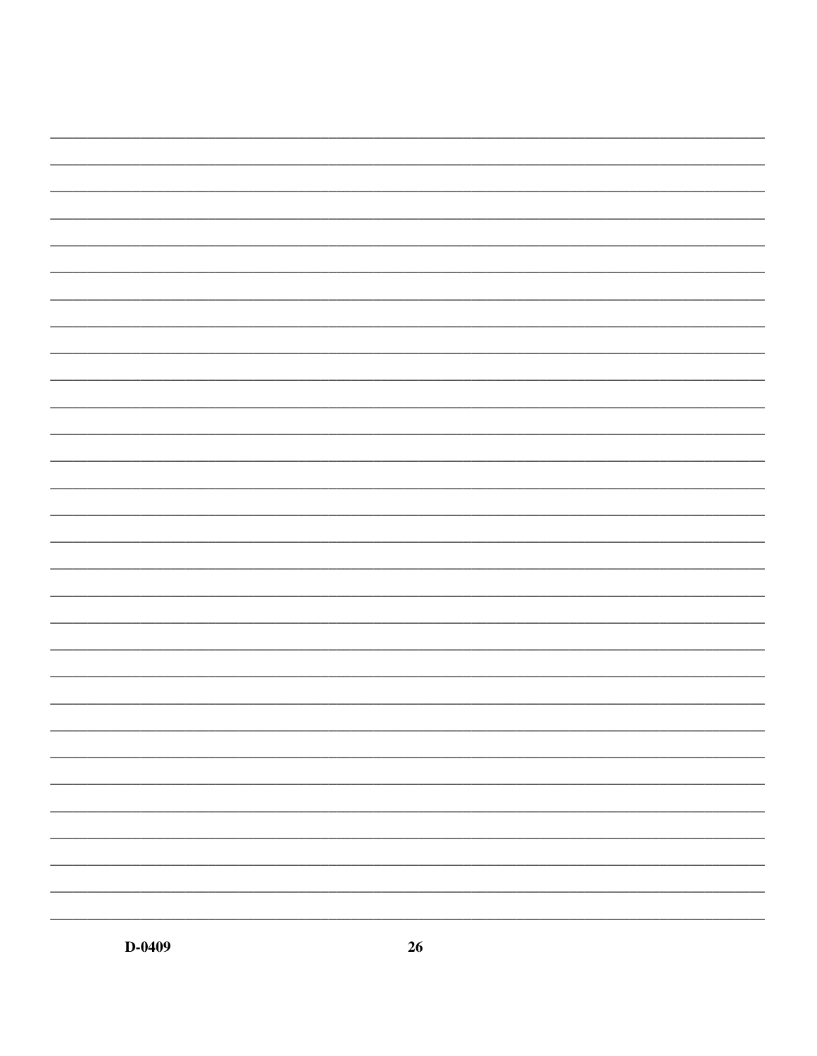![](_page_25_Figure_0.jpeg)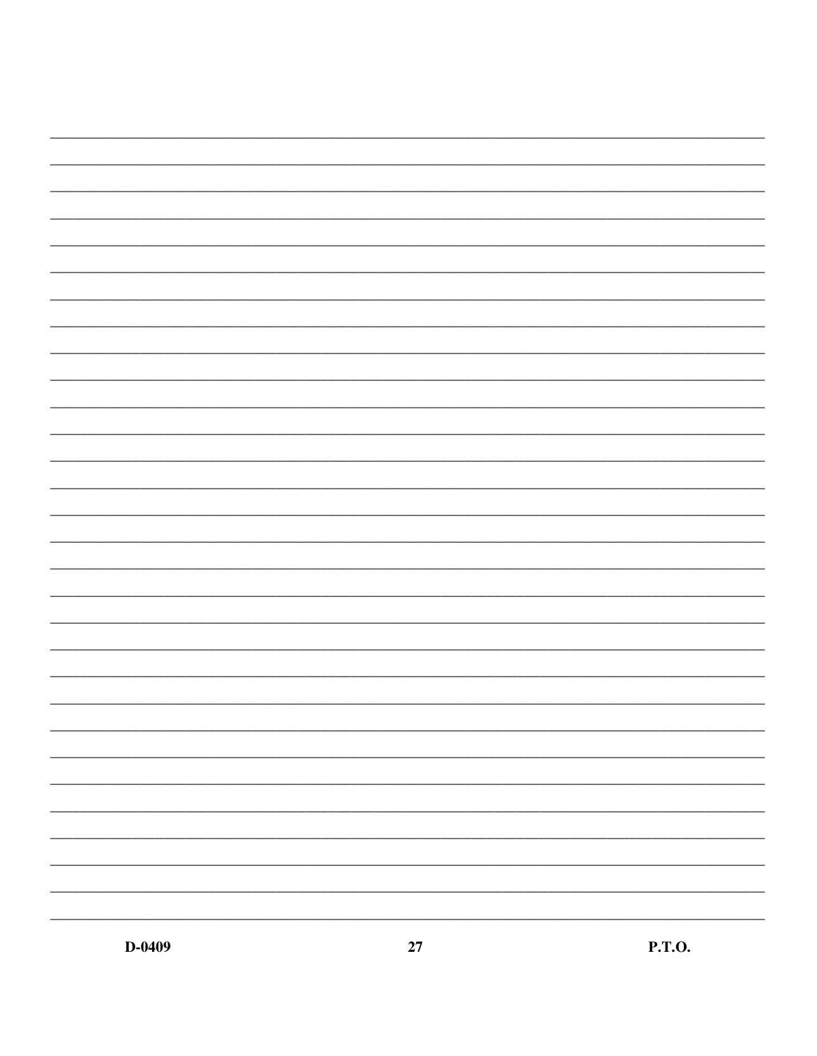![](_page_26_Figure_0.jpeg)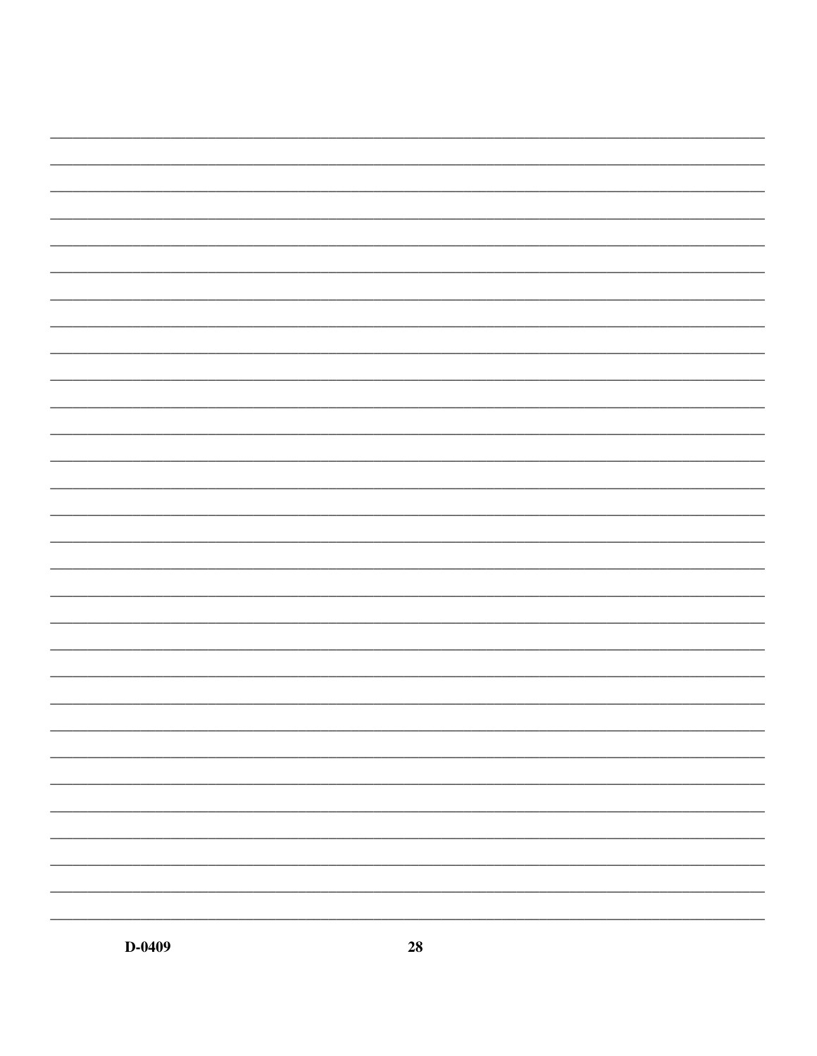![](_page_27_Figure_0.jpeg)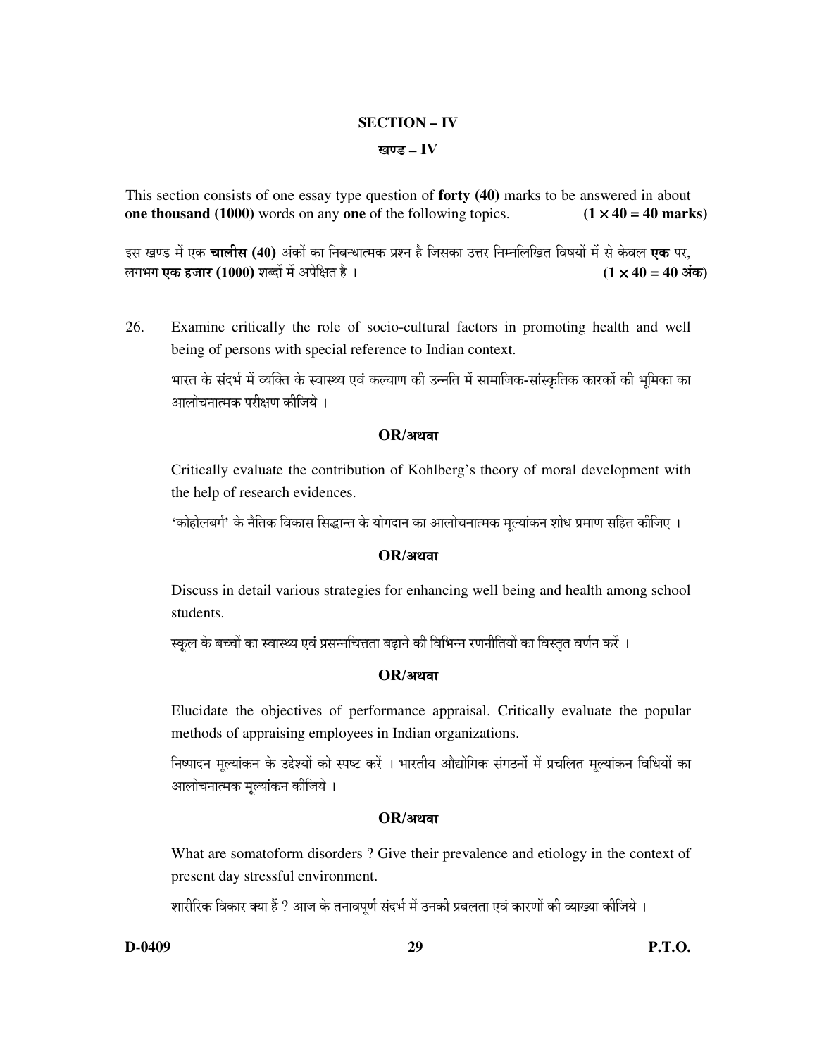#### **SECTION - IV**

#### खण्ड $-IV$

This section consists of one essay type question of forty (40) marks to be answered in about one thousand (1000) words on any one of the following topics.  $(1 \times 40 = 40$  marks)

इस खण्ड में एक **चालीस (40)** अंकों का निबन्धात्मक प्रश्न है जिसका उत्तर निम्नलिखित विषयों में से केवल **एक** पर, लगभग **एक हजार (1000)** शब्दों में अपेक्षित है।  $(1 \times 40 = 40 \text{ sign})$ 

26. Examine critically the role of socio-cultural factors in promoting health and well being of persons with special reference to Indian context.

भारत के संदर्भ में व्यक्ति के स्वास्थ्य एवं कल्याण की उन्नति में सामाजिक-सांस्कृतिक कारकों की भूमिका का आलोचनात्मक परीक्षण कीजिये ।

#### $OR/$ अथवा

Critically evaluate the contribution of Kohlberg's theory of moral development with the help of research evidences.

'कोहोलबर्ग' के नैतिक विकास सिद्धान्त के योगदान का आलोचनात्मक मल्यांकन शोध प्रमाण सहित कीजिए ।

#### $OR$ /अथवा

Discuss in detail various strategies for enhancing well being and health among school students.

स्कूल के बच्चों का स्वास्थ्य एवं प्रसन्नचित्तता बढ़ाने की विभिन्न रणनीतियों का विस्तृत वर्णन करें ।

#### $OR$ /अथवा

Elucidate the objectives of performance appraisal. Critically evaluate the popular methods of appraising employees in Indian organizations.

निष्पादन मूल्यांकन के उद्देश्यों को स्पष्ट करें । भारतीय औद्योगिक संगठनों में प्रचलित मूल्यांकन विधियों का आलोचनात्मक मुल्यांकन कीजिये ।

#### $OR/$ अथवा

What are somatoform disorders? Give their prevalence and etiology in the context of present day stressful environment.

शारीरिक विकार क्या हैं ? आज के तनावपूर्ण संदर्भ में उनकी प्रबलता एवं कारणों की व्याख्या कीजिये ।

**P.T.O.**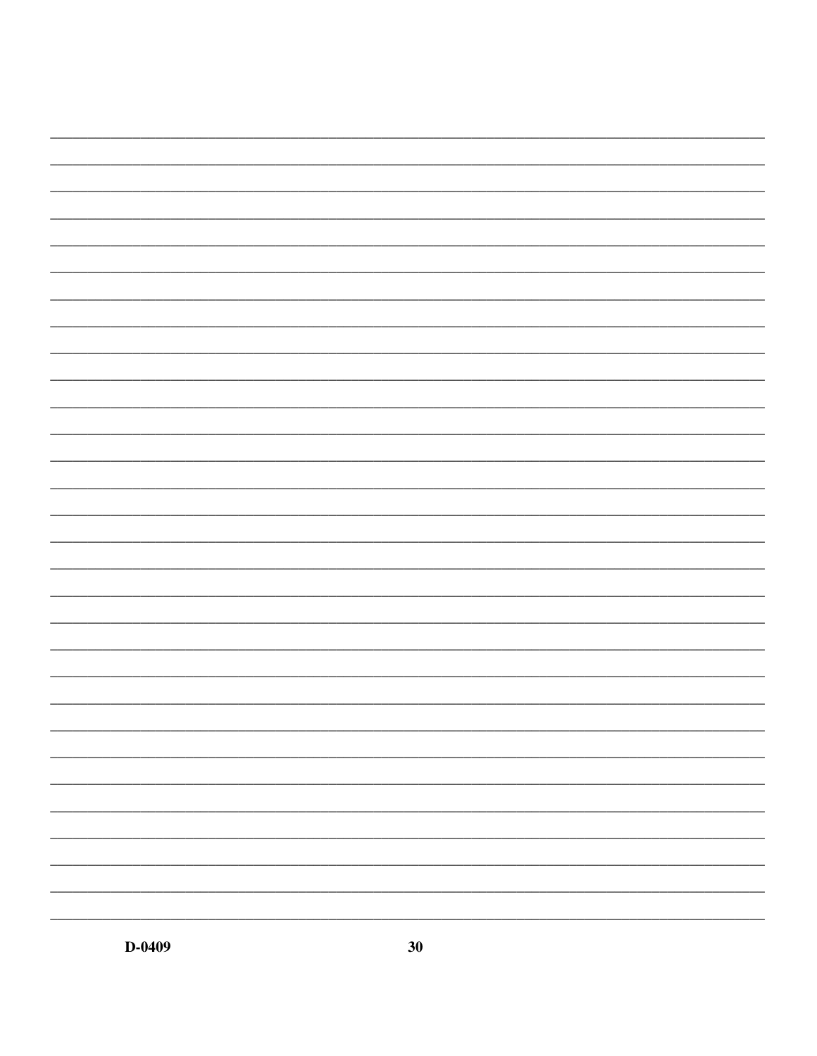![](_page_29_Figure_0.jpeg)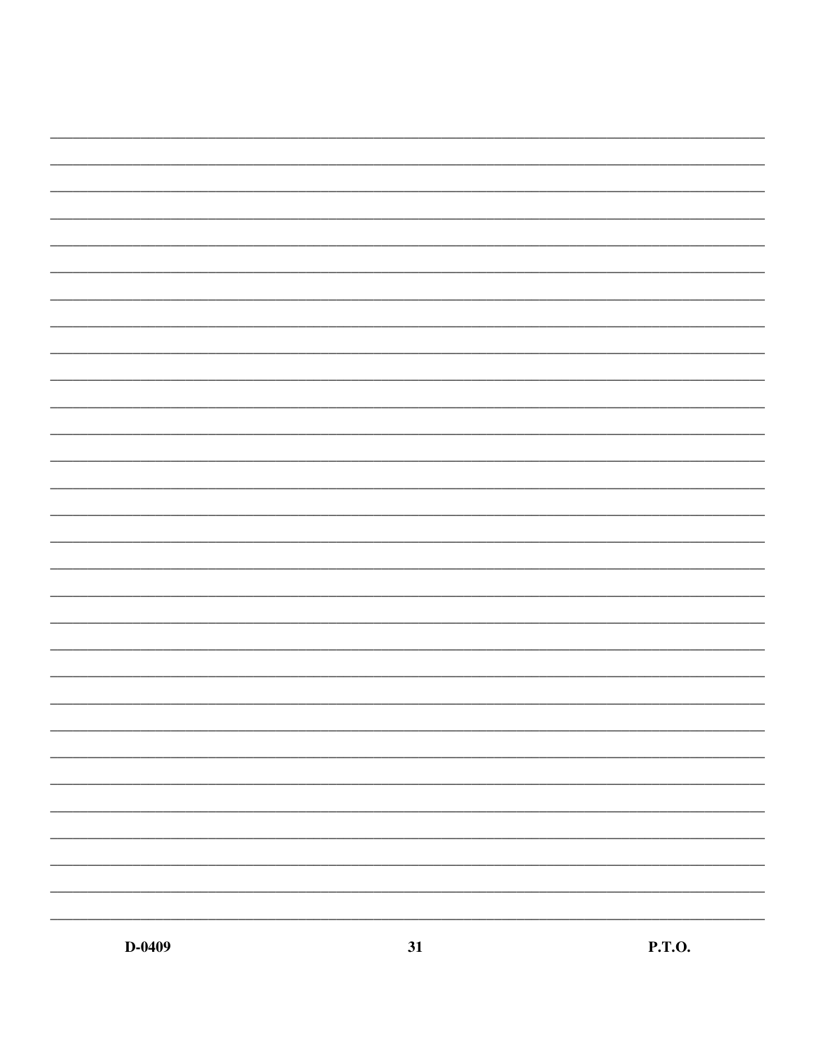![](_page_30_Figure_0.jpeg)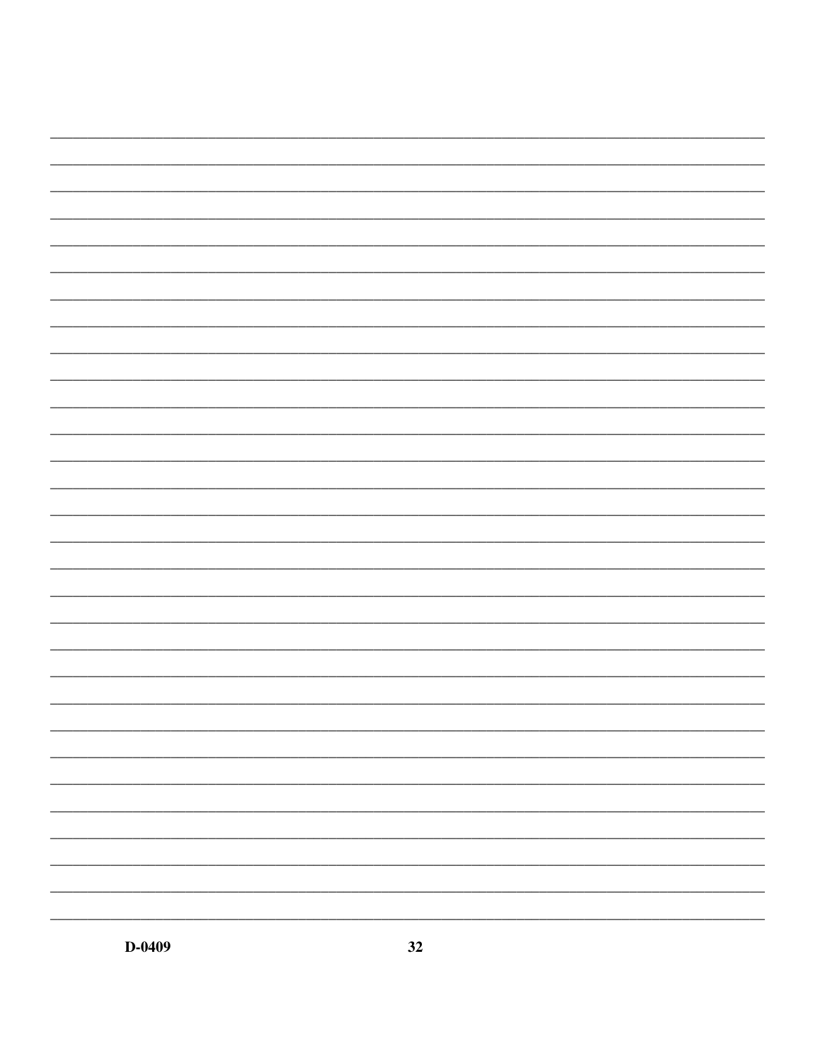![](_page_31_Figure_0.jpeg)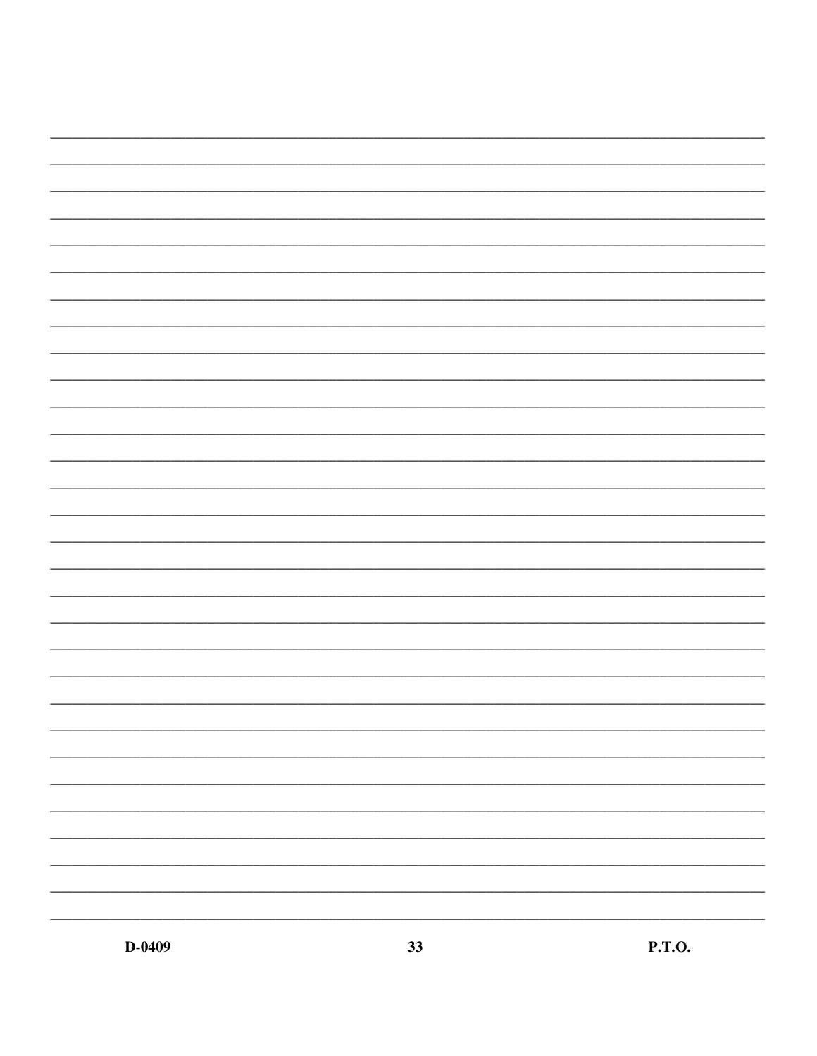![](_page_32_Figure_0.jpeg)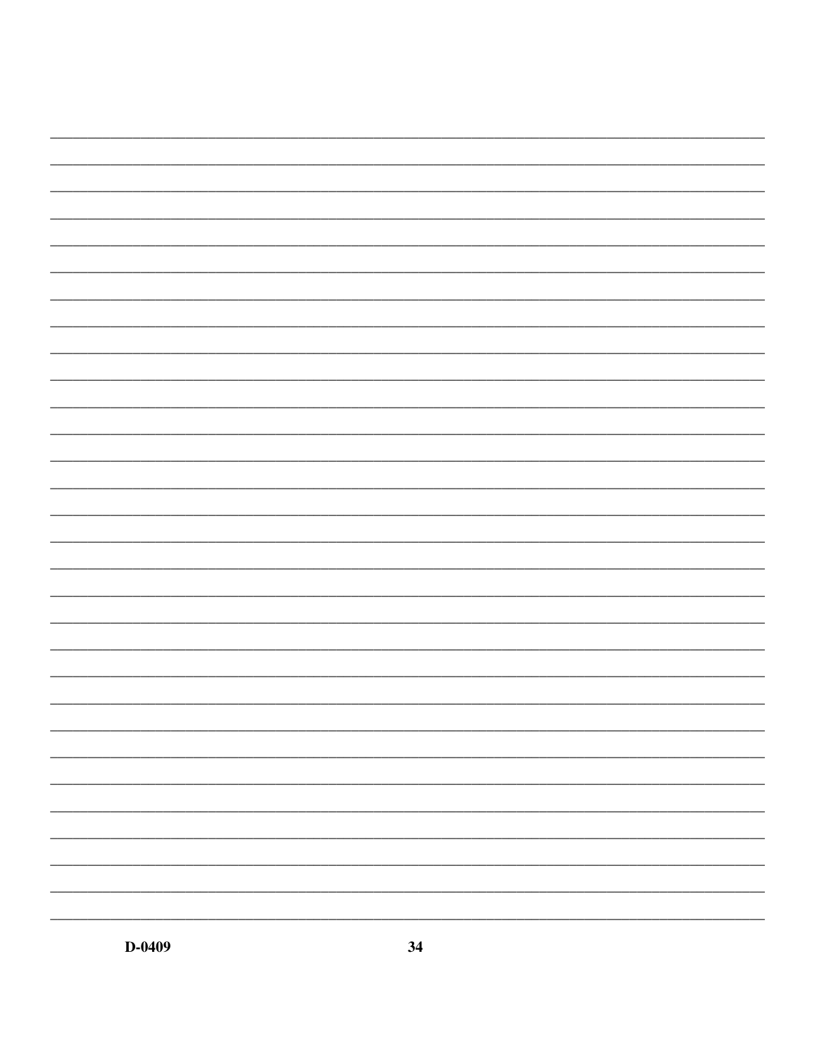![](_page_33_Figure_0.jpeg)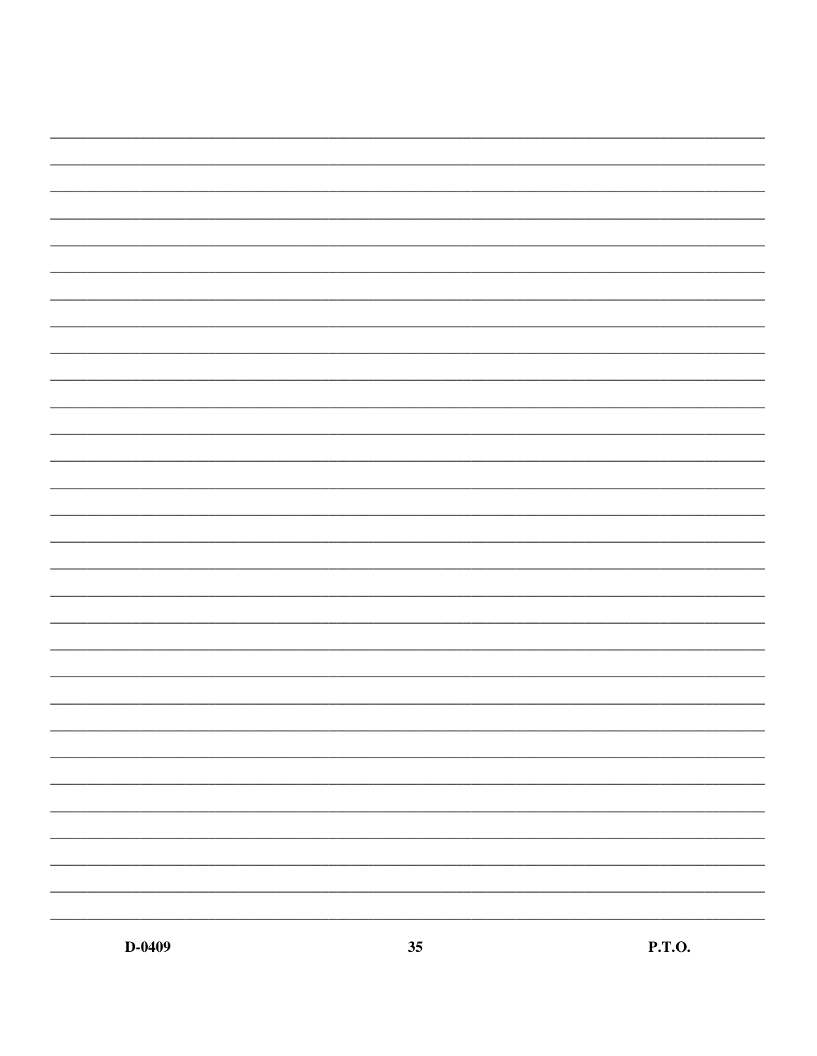![](_page_34_Figure_0.jpeg)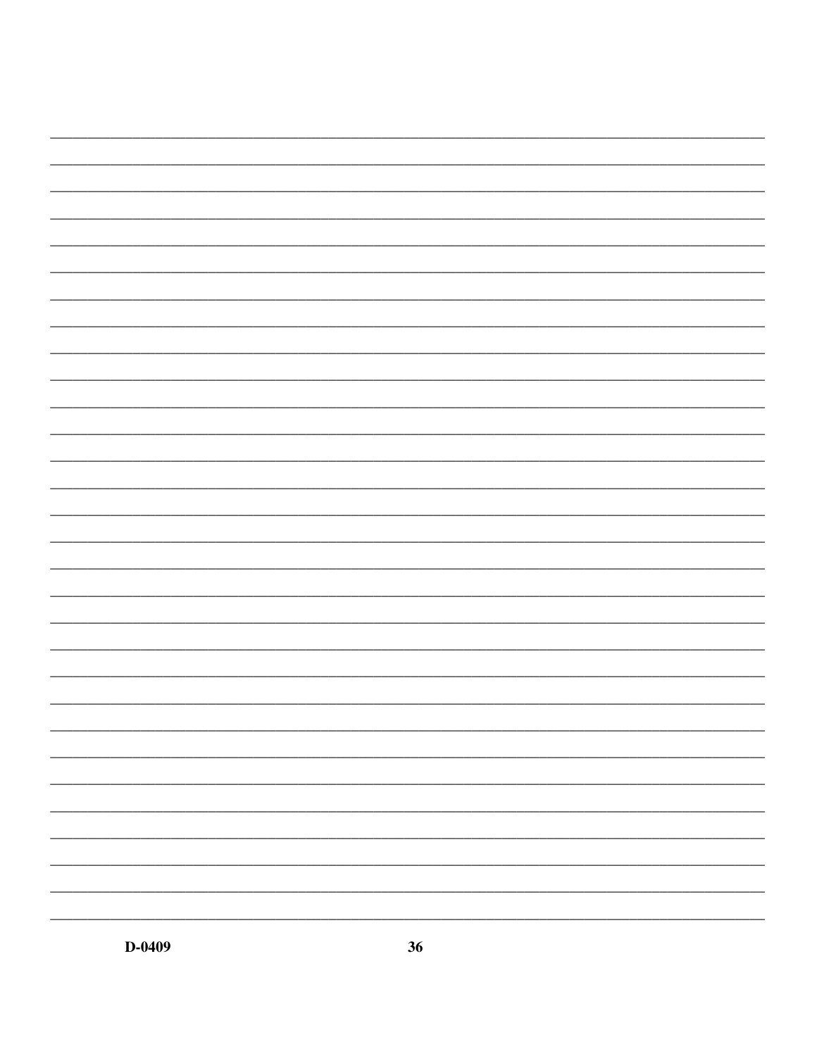![](_page_35_Figure_0.jpeg)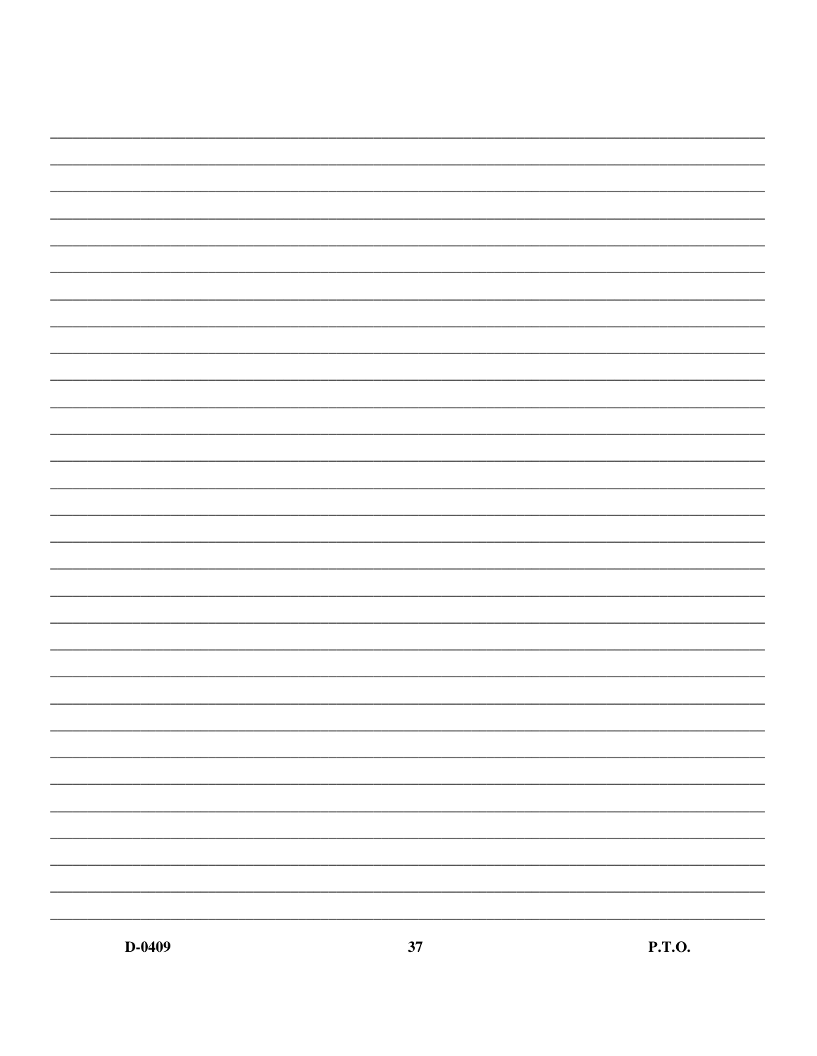![](_page_36_Figure_0.jpeg)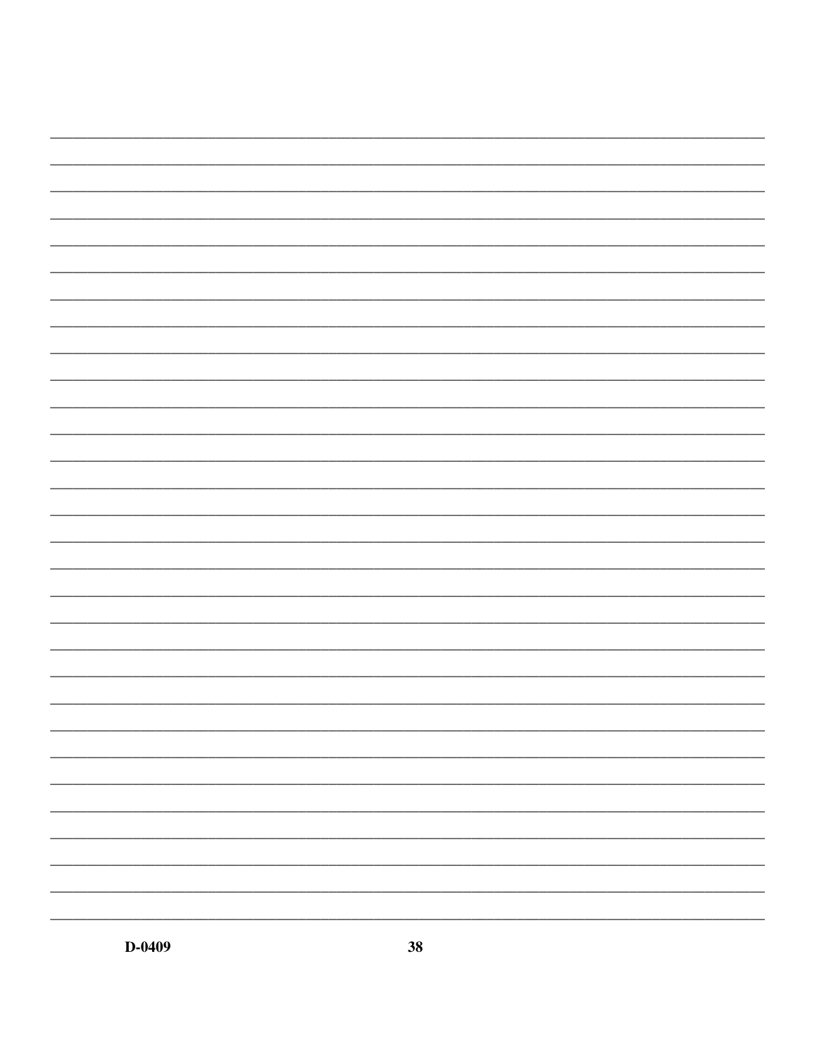![](_page_37_Figure_0.jpeg)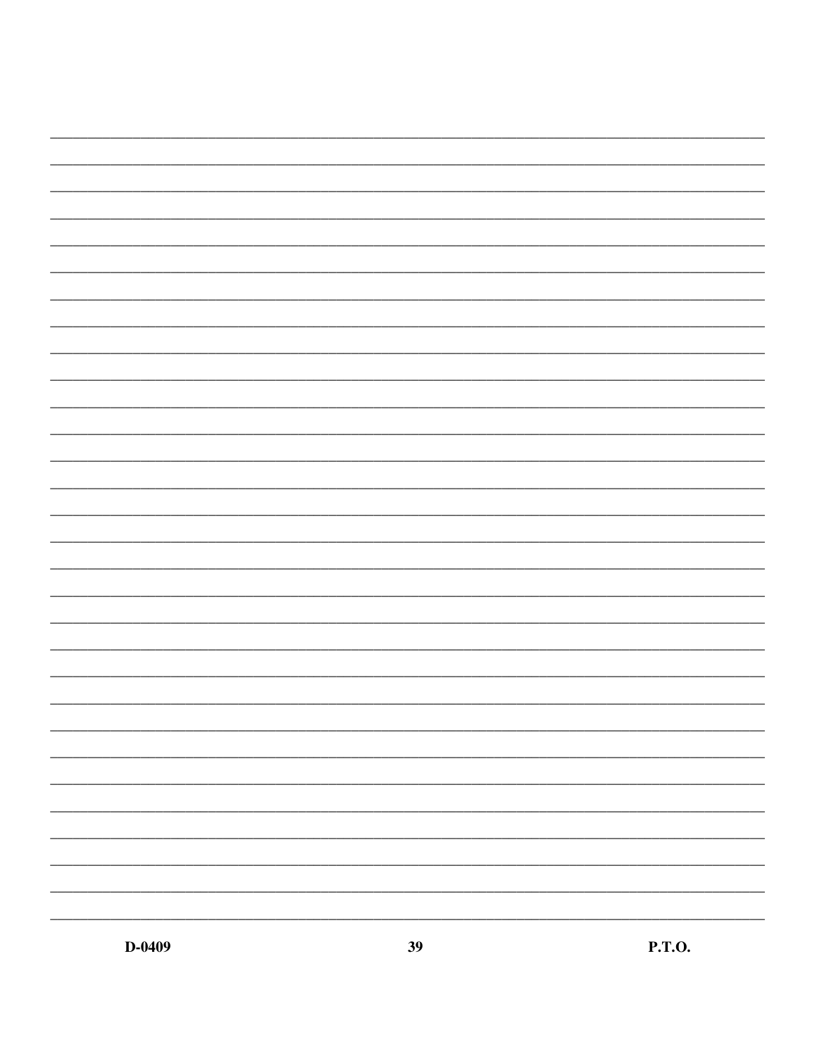![](_page_38_Figure_0.jpeg)